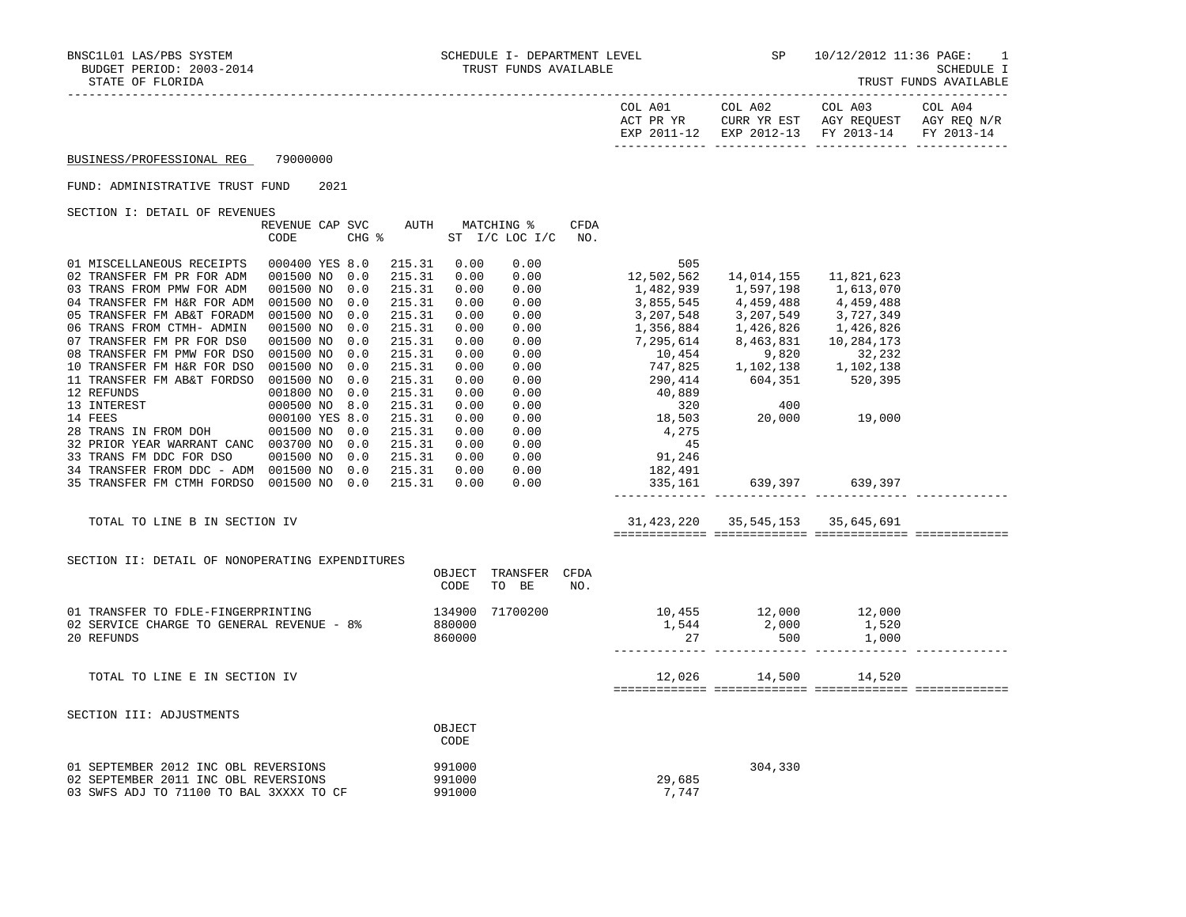| COL A01<br>ACT PR YR | COL A02<br>CURR YR EST            | COL A03<br>AGY REOUEST | COL A04<br>AGY REO N/R |
|----------------------|-----------------------------------|------------------------|------------------------|
| EXP 2011-12          | EXP 2012-13 FY 2013-14 FY 2013-14 |                        |                        |

## FUND: ADMINISTRATIVE TRUST FUND 2021

SECTION I: DETAIL OF REVENUES

|                                                 | REVENUE CAP SVC |       | AUTH   |        | MATCHING %     | CFDA |                                                                                                                                                                                                       |                                                     |            |  |
|-------------------------------------------------|-----------------|-------|--------|--------|----------------|------|-------------------------------------------------------------------------------------------------------------------------------------------------------------------------------------------------------|-----------------------------------------------------|------------|--|
|                                                 | CODE            | CHG % |        |        | ST I/C LOC I/C | NO.  |                                                                                                                                                                                                       |                                                     |            |  |
|                                                 |                 |       |        |        |                |      |                                                                                                                                                                                                       |                                                     |            |  |
| 01 MISCELLANEOUS RECEIPTS                       | 000400 YES 8.0  |       | 215.31 | 0.00   | 0.00           |      | 505                                                                                                                                                                                                   |                                                     |            |  |
| 02 TRANSFER FM PR FOR ADM                       | 001500 NO       | 0.0   | 215.31 | 0.00   | 0.00           |      | 12,502,562                                                                                                                                                                                            | 14,014,155                                          | 11,821,623 |  |
| 03 TRANS FROM PMW FOR ADM                       | 001500 NO       | 0.0   | 215.31 | 0.00   | 0.00           |      | 1,482,939<br>3,855,545                                                                                                                                                                                | 1,597,198                                           | 1,613,070  |  |
| 04 TRANSFER FM H&R FOR ADM                      | 001500 NO       | 0.0   | 215.31 | 0.00   | 0.00           |      |                                                                                                                                                                                                       | 4,459,488                                           | 4,459,488  |  |
| 05 TRANSFER FM AB&T FORADM                      | 001500 NO       | 0.0   | 215.31 | 0.00   | 0.00           |      | 3, 207, 548<br>3, 207, 549<br>3, 727, 349<br>1, 356, 884<br>7, 295, 614<br>8, 463, 831<br>10, 284, 173<br>10, 454<br>9, 820<br>32, 232<br>747, 825<br>1, 102, 138<br>290, 414<br>604, 351<br>520, 395 |                                                     |            |  |
| 06 TRANS FROM CTMH- ADMIN                       | 001500 NO       | 0.0   | 215.31 | 0.00   | 0.00           |      |                                                                                                                                                                                                       |                                                     |            |  |
| 07 TRANSFER FM PR FOR DS0                       | 001500 NO       | 0.0   | 215.31 | 0.00   | 0.00           |      |                                                                                                                                                                                                       |                                                     |            |  |
| 08 TRANSFER FM PMW FOR DSO                      | 001500 NO       | 0.0   | 215.31 | 0.00   | 0.00           |      |                                                                                                                                                                                                       |                                                     |            |  |
| 10 TRANSFER FM H&R FOR DSO                      | 001500 NO       | 0.0   | 215.31 | 0.00   | 0.00           |      |                                                                                                                                                                                                       |                                                     |            |  |
| 11 TRANSFER FM AB&T FORDSO                      | 001500 NO       | 0.0   | 215.31 | 0.00   | 0.00           |      |                                                                                                                                                                                                       |                                                     |            |  |
| 12 REFUNDS                                      | 001800 NO       | 0.0   | 215.31 | 0.00   | 0.00           |      | 40,889                                                                                                                                                                                                |                                                     |            |  |
| 13 INTEREST                                     | 000500 NO 8.0   |       | 215.31 | 0.00   | 0.00           |      |                                                                                                                                                                                                       |                                                     |            |  |
| 14 FEES                                         | 000100 YES 8.0  |       | 215.31 | 0.00   | 0.00           |      | $\begin{array}{c} 320 \\ 18,503 \end{array}$                                                                                                                                                          | $\begin{array}{c} 400 \\ 20,000 \end{array}$ 19,000 |            |  |
| 28 TRANS IN FROM DOH                            | 001500 NO       | 0.0   | 215.31 | 0.00   | 0.00           |      | 4,275                                                                                                                                                                                                 |                                                     |            |  |
| 32 PRIOR YEAR WARRANT CANC 003700 NO 0.0        |                 |       | 215.31 | 0.00   | 0.00           |      | 45                                                                                                                                                                                                    |                                                     |            |  |
| 33 TRANS FM DDC FOR DSO                         | 001500 NO       | 0.0   | 215.31 | 0.00   | 0.00           |      | 91, 246                                                                                                                                                                                               |                                                     |            |  |
| 34 TRANSFER FROM DDC - ADM 001500 NO            |                 | 0.0   | 215.31 | 0.00   |                |      | $0.00$ 182,491                                                                                                                                                                                        |                                                     |            |  |
| 35 TRANSFER FM CTMH FORDSO 001500 NO 0.0        |                 |       | 215.31 | 0.00   | 0.00           |      | 335,161                                                                                                                                                                                               | 639,397 639,397                                     |            |  |
|                                                 |                 |       |        |        |                |      |                                                                                                                                                                                                       |                                                     |            |  |
|                                                 |                 |       |        |        |                |      |                                                                                                                                                                                                       |                                                     |            |  |
| TOTAL TO LINE B IN SECTION IV                   |                 |       |        |        |                |      | 31, 423, 220 35, 545, 153 35, 645, 691                                                                                                                                                                |                                                     |            |  |
|                                                 |                 |       |        |        |                |      |                                                                                                                                                                                                       |                                                     |            |  |
|                                                 |                 |       |        |        |                |      |                                                                                                                                                                                                       |                                                     |            |  |
| SECTION II: DETAIL OF NONOPERATING EXPENDITURES |                 |       |        |        |                |      |                                                                                                                                                                                                       |                                                     |            |  |
|                                                 |                 |       |        | OBJECT | TRANSFER       | CFDA |                                                                                                                                                                                                       |                                                     |            |  |
|                                                 |                 |       |        | CODE   | TO BE          | NO.  |                                                                                                                                                                                                       |                                                     |            |  |
|                                                 |                 |       |        |        |                |      |                                                                                                                                                                                                       |                                                     |            |  |
| 01 TRANSFER TO FDLE-FINGERPRINTING 134900       |                 |       |        |        | 71700200       |      | 10,455 12,000 12,000                                                                                                                                                                                  |                                                     |            |  |
| 02 SERVICE CHARGE TO GENERAL REVENUE - 8%       |                 |       |        | 880000 |                |      | $1,544$ 2,000                                                                                                                                                                                         |                                                     | 1,520      |  |
| 20 REFUNDS                                      |                 |       |        | 860000 |                |      | 27                                                                                                                                                                                                    | 500                                                 | 1,000      |  |
|                                                 |                 |       |        |        |                |      |                                                                                                                                                                                                       |                                                     |            |  |
|                                                 |                 |       |        |        |                |      |                                                                                                                                                                                                       |                                                     |            |  |
| TOTAL TO LINE E IN SECTION IV                   |                 |       |        |        |                |      |                                                                                                                                                                                                       | 12,026 14,500 14,520                                |            |  |
|                                                 |                 |       |        |        |                |      |                                                                                                                                                                                                       |                                                     |            |  |
|                                                 |                 |       |        |        |                |      |                                                                                                                                                                                                       |                                                     |            |  |
| SECTION III: ADJUSTMENTS                        |                 |       |        |        |                |      |                                                                                                                                                                                                       |                                                     |            |  |
|                                                 |                 |       |        | OBJECT |                |      |                                                                                                                                                                                                       |                                                     |            |  |
|                                                 |                 |       |        | CODE   |                |      |                                                                                                                                                                                                       |                                                     |            |  |
| 01 SEPTEMBER 2012 INC OBL REVERSIONS            |                 |       | 991000 |        |                |      |                                                                                                                                                                                                       | 304,330                                             |            |  |
| 02 SEPTEMBER 2011 INC OBL REVERSIONS            |                 |       |        | 991000 |                |      | 29,685                                                                                                                                                                                                |                                                     |            |  |
| 03 SWFS ADJ TO 71100 TO BAL 3XXXX TO CF         |                 |       |        |        |                |      | 7,747                                                                                                                                                                                                 |                                                     |            |  |
|                                                 |                 |       |        | 991000 |                |      |                                                                                                                                                                                                       |                                                     |            |  |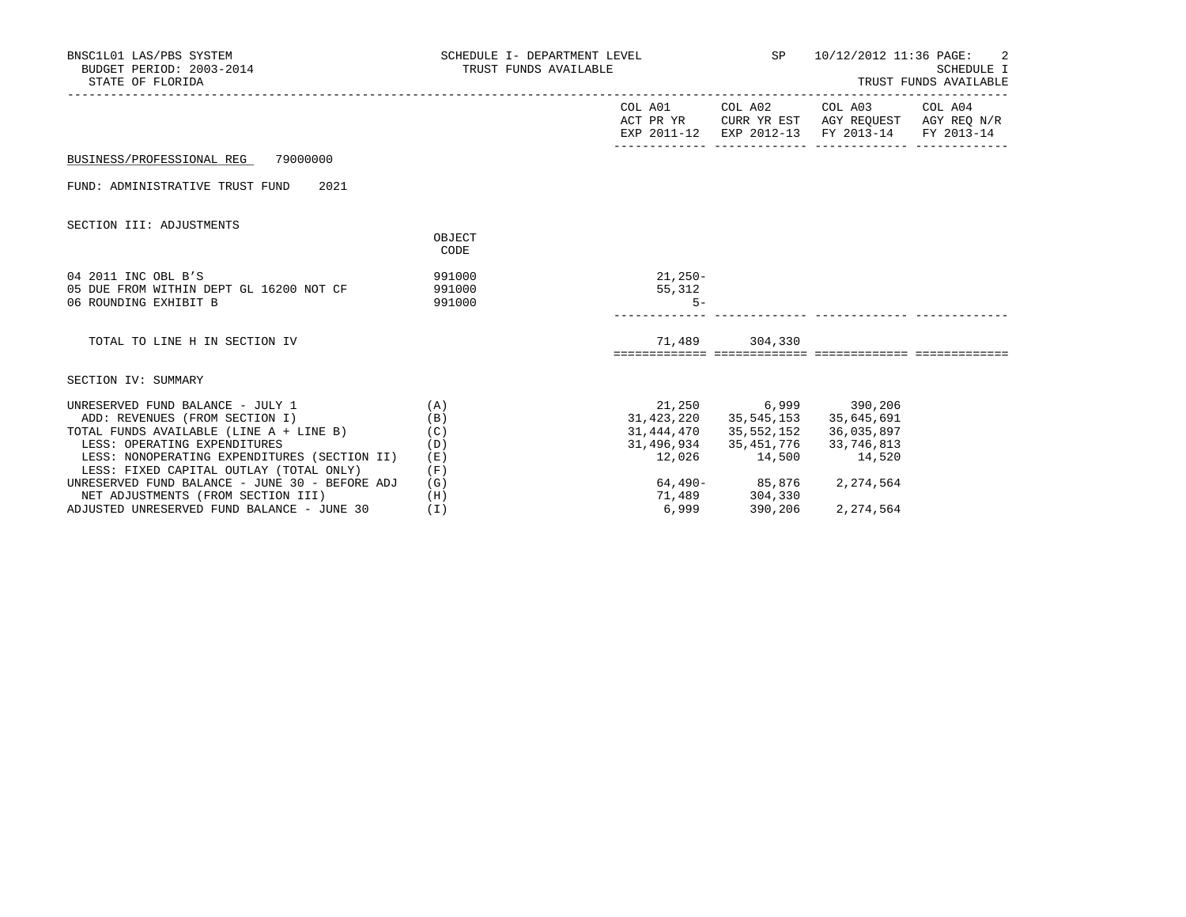| BNSC1L01 LAS/PBS SYSTEM<br>BUDGET PERIOD: 2003-2014<br>STATE OF FLORIDA                   |                            | SCHEDULE I- DEPARTMENT LEVEL $SP$ 10/12/2012 11:36 PAGE: 2<br>TRUST FUNDS AVAILABLE |                                        | SCHEDULE I<br>TRUST FUNDS AVAILABLE                                                                                               |  |  |
|-------------------------------------------------------------------------------------------|----------------------------|-------------------------------------------------------------------------------------|----------------------------------------|-----------------------------------------------------------------------------------------------------------------------------------|--|--|
|                                                                                           |                            |                                                                                     |                                        | COL A01 COL A02 COL A03 COL A04<br>ACT PR YR CURR YR EST AGY REQUEST AGY REQ N/R<br>EXP 2011-12 EXP 2012-13 FY 2013-14 FY 2013-14 |  |  |
| BUSINESS/PROFESSIONAL REG 79000000                                                        |                            |                                                                                     |                                        |                                                                                                                                   |  |  |
| FUND: ADMINISTRATIVE TRUST FUND<br>2021                                                   |                            |                                                                                     |                                        |                                                                                                                                   |  |  |
| SECTION III: ADJUSTMENTS                                                                  |                            |                                                                                     |                                        |                                                                                                                                   |  |  |
|                                                                                           | OBJECT<br><b>CODE</b>      |                                                                                     |                                        |                                                                                                                                   |  |  |
| 04 2011 INC OBL B'S<br>05 DUE FROM WITHIN DEPT GL 16200 NOT CF<br>06 ROUNDING EXHIBIT B   | 991000<br>991000<br>991000 | $21,250-$<br>55,312<br>$5 -$                                                        |                                        |                                                                                                                                   |  |  |
| TOTAL TO LINE H IN SECTION IV                                                             |                            |                                                                                     | 71,489 304,330                         |                                                                                                                                   |  |  |
| SECTION IV: SUMMARY                                                                       |                            |                                                                                     |                                        |                                                                                                                                   |  |  |
| UNRESERVED FUND BALANCE - JULY 1                                                          | (A)                        | 21,250 6,999 390,206                                                                |                                        |                                                                                                                                   |  |  |
| ADD: REVENUES (FROM SECTION I)                                                            | (B)                        |                                                                                     | 31, 423, 220 35, 545, 153 35, 645, 691 |                                                                                                                                   |  |  |
| TOTAL FUNDS AVAILABLE (LINE A + LINE B) (C)                                               |                            |                                                                                     | 31, 444, 470 35, 552, 152 36, 035, 897 |                                                                                                                                   |  |  |
| LESS: OPERATING EXPENDITURES                                                              | (D)                        |                                                                                     | 31, 496, 934 35, 451, 776 33, 746, 813 |                                                                                                                                   |  |  |
| LESS: NONOPERATING EXPENDITURES (SECTION II)                                              | (E)                        | 12,026                                                                              | 14,500                                 | 14,520                                                                                                                            |  |  |
| LESS: FIXED CAPITAL OUTLAY (TOTAL ONLY)<br>UNRESERVED FUND BALANCE - JUNE 30 - BEFORE ADJ | (F)<br>(G)                 |                                                                                     |                                        | 2,274,564                                                                                                                         |  |  |
| NET ADJUSTMENTS (FROM SECTION III)                                                        | (H)                        |                                                                                     | 64,490-<br>71,489 304,330              |                                                                                                                                   |  |  |
| ADJUSTED UNRESERVED FUND BALANCE - JUNE 30                                                | (T)                        | 6,999                                                                               | 390,206                                | 2,274,564                                                                                                                         |  |  |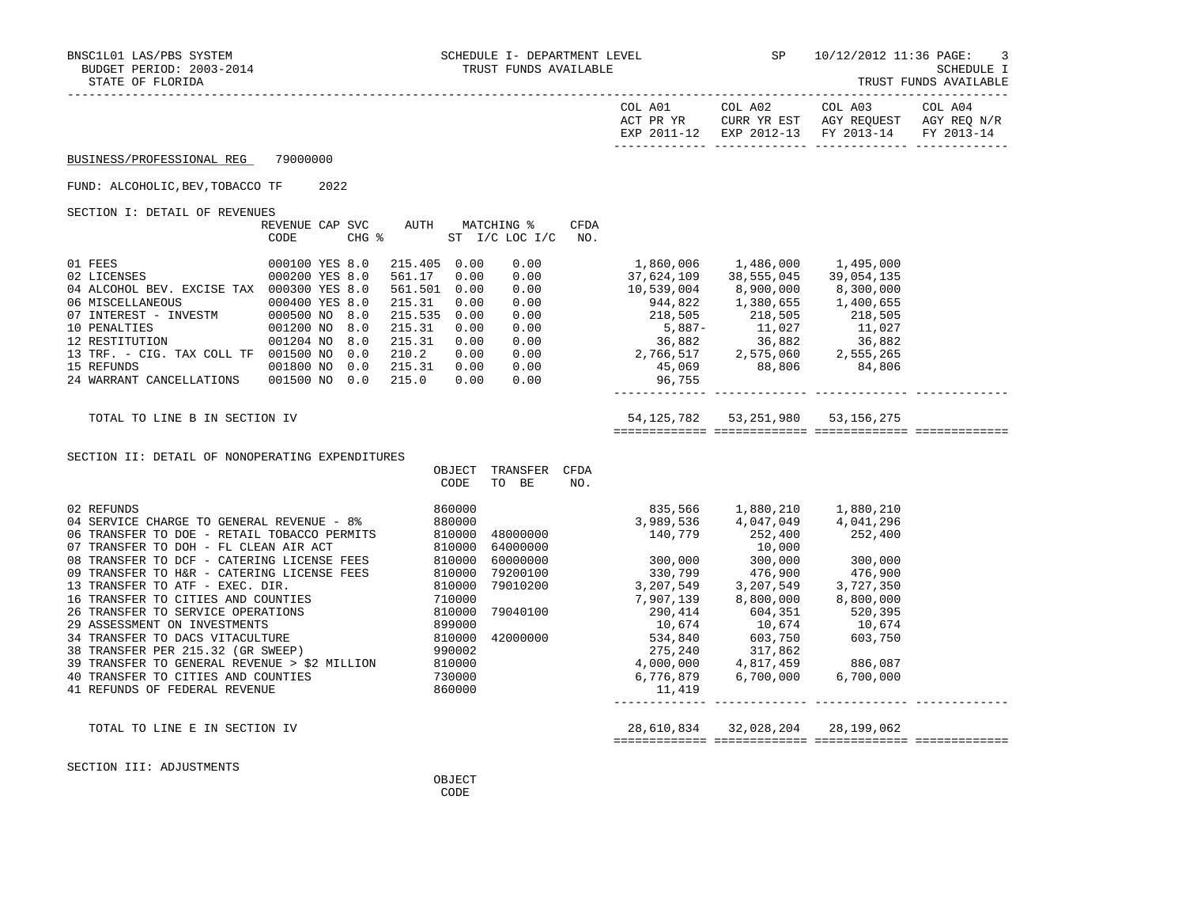| COL A01     | COL A02                | COL A03     | COL A04     |
|-------------|------------------------|-------------|-------------|
| ACT PR YR   | CURR YR EST            | AGY REOUEST | AGY REO N/R |
| EXP 2011-12 | EXP 2012-13 FY 2013-14 |             | FY 2013-14  |
|             |                        |             |             |

#### FUND: ALCOHOLIC,BEV,TOBACCO TF 2022

SECTION I: DETAIL OF REVENUES

| SECIION I: DETAIL OF REVENUES |                 |       |         |      |                 |      |            |            |            |
|-------------------------------|-----------------|-------|---------|------|-----------------|------|------------|------------|------------|
|                               | REVENUE CAP SVC |       | AUTH    |      | MATCHING %      | CFDA |            |            |            |
|                               | CODE            | CHG % |         | ST   | $I/C$ LOC $I/C$ | NO.  |            |            |            |
| 01 FEES                       | 000100 YES 8.0  |       | 215.405 | 0.00 | 0.00            |      | 1,860,006  | 1,486,000  | 1,495,000  |
| 02 LICENSES                   | 000200 YES 8.0  |       | 561.17  | 0.00 | 0.00            |      | 37,624,109 | 38,555,045 | 39,054,135 |
| 04 ALCOHOL BEV. EXCISE TAX    | 000300 YES 8.0  |       | 561.501 | 0.00 | 0.00            |      | 10,539,004 | 8,900,000  | 8,300,000  |
| 06 MISCELLANEOUS              | 000400 YES 8.0  |       | 215.31  | 0.00 | 0.00            |      | 944,822    | 1,380,655  | 1,400,655  |
| 07 INTEREST - INVESTM         | 000500 NO 8.0   |       | 215.535 | 0.00 | 0.00            |      | 218,505    | 218,505    | 218,505    |
| 10 PENALTIES                  | 001200 NO 8.0   |       | 215.31  | 0.00 | 0.00            |      | $5.887-$   | 11,027     | 11,027     |
| 12 RESTITUTION                | 001204 NO       | 8.0   | 215.31  | 0.00 | 0.00            |      | 36,882     | 36,882     | 36,882     |
| 13 TRF. - CIG. TAX COLL TF    | 001500 NO       | 0.0   | 210.2   | 0.00 | 0.00            |      | 2,766,517  | 2,575,060  | 2,555,265  |
| 15 REFUNDS                    | 001800 NO       | 0.0   | 215.31  | 0.00 | 0.00            |      | 45,069     | 88,806     | 84,806     |
| 24 WARRANT CANCELLATIONS      | 001500 NO       | 0.0   | 215.0   | 0.00 | 0.00            |      | 96,755     |            |            |

| 1,860,006  | 1,486,000  | 1,495,000  |  |
|------------|------------|------------|--|
| 37,624,109 | 38,555,045 | 39,054,135 |  |
| 10,539,004 | 8,900,000  | 8,300,000  |  |
| 944,822    | 1,380,655  | 1,400,655  |  |
| 218,505    | 218,505    | 218,505    |  |
| $5,887-$   | 11,027     | 11,027     |  |
| 36,882     | 36,882     | 36,882     |  |
| 2,766,517  | 2,575,060  | 2,555,265  |  |
| 45,069     | 88,806     | 84,806     |  |
| 96,755     |            |            |  |

SECTION II: DETAIL OF NONOPERATING EXPENDITURES

TOTAL TO LINE B IN SECTION IV 54,125,782 53,251,980 53,156,275

============= ============= ============= =============

------------- ------------- ------------- -------------

|                                              | OBJECT | TRANSFER | CFDA |           |           |           |  |
|----------------------------------------------|--------|----------|------|-----------|-----------|-----------|--|
|                                              | CODE   | BE<br>TO | NO.  |           |           |           |  |
| 02 REFUNDS                                   | 860000 |          |      | 835,566   | 1,880,210 | 1,880,210 |  |
| 04 SERVICE CHARGE TO GENERAL REVENUE - 8%    | 880000 |          |      | 3,989,536 | 4,047,049 | 4,041,296 |  |
| 06 TRANSFER TO DOE - RETAIL TOBACCO PERMITS  | 810000 | 48000000 |      | 140,779   | 252,400   | 252,400   |  |
| 07 TRANSFER TO DOH - FL CLEAN AIR ACT        | 810000 | 64000000 |      |           | 10,000    |           |  |
| 08 TRANSFER TO DCF - CATERING LICENSE FEES   | 810000 | 60000000 |      | 300,000   | 300,000   | 300,000   |  |
| 09 TRANSFER TO H&R - CATERING LICENSE FEES   | 810000 | 79200100 |      | 330,799   | 476,900   | 476,900   |  |
| 13 TRANSFER TO ATF - EXEC. DIR.              | 810000 | 79010200 |      | 3,207,549 | 3,207,549 | 3,727,350 |  |
| 16 TRANSFER TO CITIES AND COUNTIES           | 710000 |          |      | 7,907,139 | 8,800,000 | 8,800,000 |  |
| 26 TRANSFER TO SERVICE OPERATIONS            | 810000 | 79040100 |      | 290,414   | 604,351   | 520,395   |  |
| 29 ASSESSMENT ON INVESTMENTS                 | 899000 |          |      | 10,674    | 10,674    | 10,674    |  |
| 34 TRANSFER TO DACS VITACULTURE              | 810000 | 42000000 |      | 534,840   | 603,750   | 603,750   |  |
| 38 TRANSFER PER 215.32 (GR SWEEP)            | 990002 |          |      | 275,240   | 317,862   |           |  |
| 39 TRANSFER TO GENERAL REVENUE > \$2 MILLION | 810000 |          |      | 4,000,000 | 4,817,459 | 886,087   |  |
| 40 TRANSFER TO CITIES AND COUNTIES           | 730000 |          |      | 6,776,879 | 6,700,000 | 6,700,000 |  |
| 41 REFUNDS OF FEDERAL REVENUE                | 860000 |          |      | 11,419    |           |           |  |
|                                              |        |          |      |           |           |           |  |

 TOTAL TO LINE E IN SECTION IV 28,610,834 32,028,204 28,199,062 ============= ============= ============= =============

SECTION III: ADJUSTMENTS

**OBJECT CODE**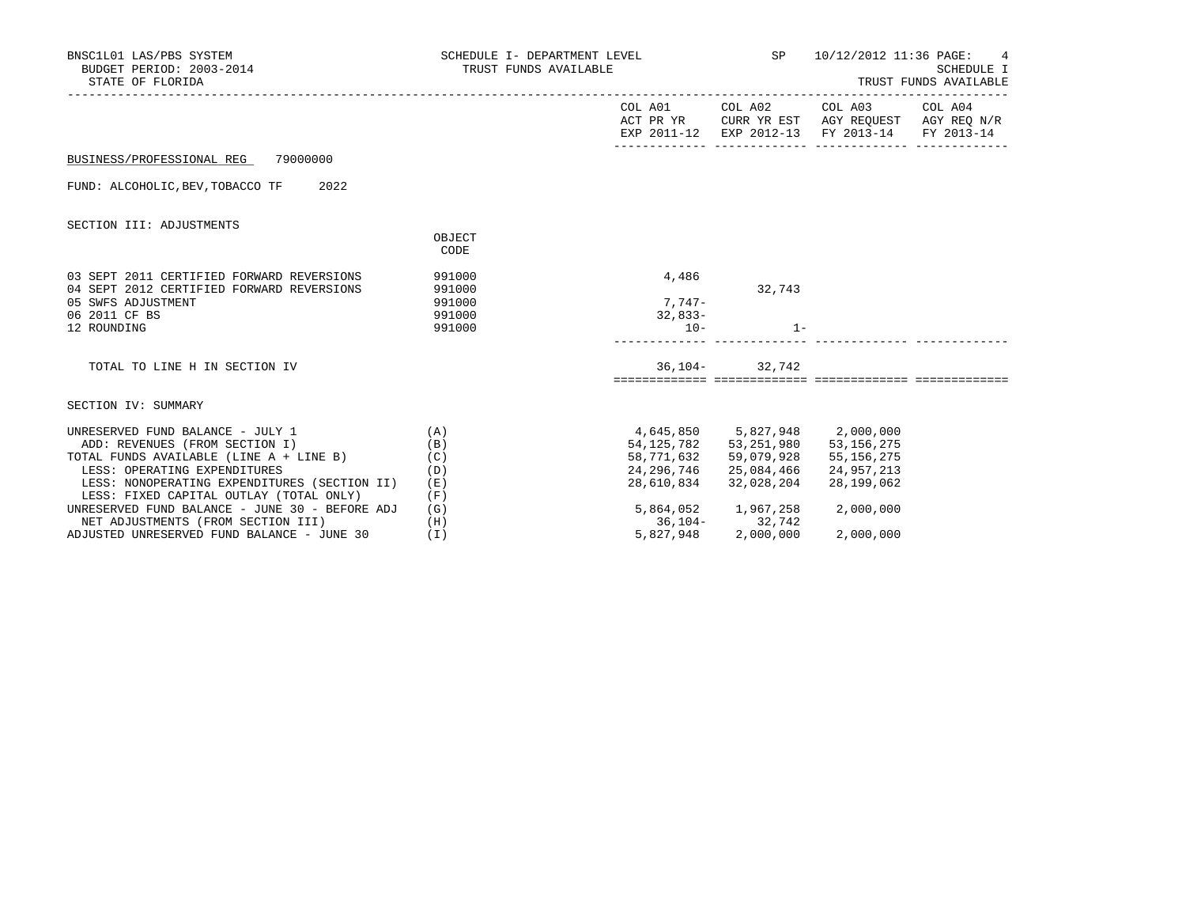| BNSC1L01 LAS/PBS SYSTEM<br>BUDGET PERIOD: 2003-2014<br>STATE OF FLORIDA                                                                      |                                                | SCHEDULE I- DEPARTMENT LEVEL<br>TRUST FUNDS AVAILABLE |                                                                                                  | SP 10/12/2012 11:36 PAGE: 4<br>SCHEDULE I<br>TRUST FUNDS AVAILABLE                                                |  |  |
|----------------------------------------------------------------------------------------------------------------------------------------------|------------------------------------------------|-------------------------------------------------------|--------------------------------------------------------------------------------------------------|-------------------------------------------------------------------------------------------------------------------|--|--|
|                                                                                                                                              |                                                | COL A01                                               | COL A02                                                                                          | COL A03 COL A04<br>ACT PR YR CURR YR EST AGY REQUEST AGY REQ N/R<br>EXP 2011-12 EXP 2012-13 FY 2013-14 FY 2013-14 |  |  |
| BUSINESS/PROFESSIONAL REG 79000000                                                                                                           |                                                |                                                       |                                                                                                  |                                                                                                                   |  |  |
| FUND: ALCOHOLIC, BEV, TOBACCO TF 2022                                                                                                        |                                                |                                                       |                                                                                                  |                                                                                                                   |  |  |
| SECTION III: ADJUSTMENTS                                                                                                                     | OBJECT<br>CODE                                 |                                                       |                                                                                                  |                                                                                                                   |  |  |
| 03 SEPT 2011 CERTIFIED FORWARD REVERSIONS<br>04 SEPT 2012 CERTIFIED FORWARD REVERSIONS<br>05 SWFS ADJUSTMENT<br>06 2011 CF BS<br>12 ROUNDING | 991000<br>991000<br>991000<br>991000<br>991000 | 4,486<br>$7,747-$<br>$32,833-$<br>$10 -$              | 32,743<br>$1 -$                                                                                  |                                                                                                                   |  |  |
| TOTAL TO LINE H IN SECTION IV                                                                                                                |                                                |                                                       | $36, 104 - 32, 742$                                                                              |                                                                                                                   |  |  |
| SECTION IV: SUMMARY                                                                                                                          |                                                |                                                       |                                                                                                  |                                                                                                                   |  |  |
| UNRESERVED FUND BALANCE - JULY 1<br>ADD: REVENUES (FROM SECTION I)<br>TOTAL FUNDS AVAILABLE (LINE A + LINE B)                                | (A)<br>(B)<br>(C)                              |                                                       | 4,645,850 5,827,948 2,000,000<br>54, 125, 782 53, 251, 980 53, 156, 275<br>58,771,632 59,079,928 | 55,156,275                                                                                                        |  |  |
| LESS: OPERATING EXPENDITURES<br>LESS: NONOPERATING EXPENDITURES (SECTION II)<br>LESS: FIXED CAPITAL OUTLAY (TOTAL ONLY)                      | (D)<br>(E)<br>(F)                              | 24,296,746<br>28,610,834                              | 25,084,466<br>32,028,204                                                                         | 24,957,213<br>28,199,062                                                                                          |  |  |
| UNRESERVED FUND BALANCE - JUNE 30 - BEFORE ADJ<br>NET ADJUSTMENTS (FROM SECTION III)                                                         | (G)<br>(H)                                     |                                                       | 5,864,052 1,967,258<br>36, 104 - 32, 742                                                         | 2,000,000                                                                                                         |  |  |
| ADJUSTED UNRESERVED FUND BALANCE - JUNE 30                                                                                                   | (I)                                            | 5,827,948                                             | 2,000,000                                                                                        | 2,000,000                                                                                                         |  |  |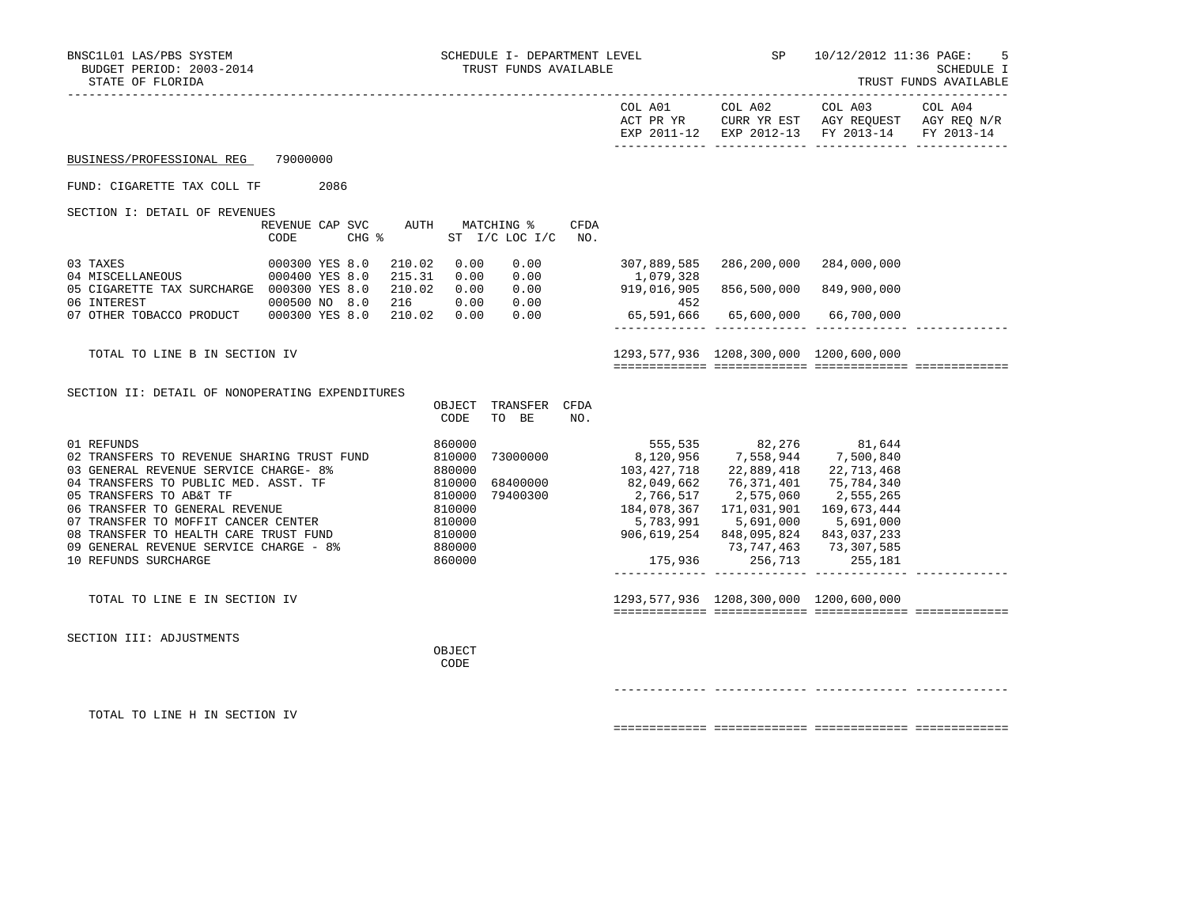|                                                                                                                                                                                                                                                                                                                                                                                                                          |                         |      |        |                  |                                       |             |                                                                                                                                                                                                                                                                                                                                                                            |                                        | COL A01 COL A02 COL A03 COL A04<br>ACT PR YR CURR YR EST AGY REQUEST AGY REQ N/R<br>EXP 2011-12 EXP 2012-13 FY 2013-14 FY 2013-14 |  |
|--------------------------------------------------------------------------------------------------------------------------------------------------------------------------------------------------------------------------------------------------------------------------------------------------------------------------------------------------------------------------------------------------------------------------|-------------------------|------|--------|------------------|---------------------------------------|-------------|----------------------------------------------------------------------------------------------------------------------------------------------------------------------------------------------------------------------------------------------------------------------------------------------------------------------------------------------------------------------------|----------------------------------------|-----------------------------------------------------------------------------------------------------------------------------------|--|
| BUSINESS/PROFESSIONAL REG                                                                                                                                                                                                                                                                                                                                                                                                | 79000000                |      |        |                  |                                       |             |                                                                                                                                                                                                                                                                                                                                                                            |                                        |                                                                                                                                   |  |
| FUND: CIGARETTE TAX COLL TF                                                                                                                                                                                                                                                                                                                                                                                              |                         | 2086 |        |                  |                                       |             |                                                                                                                                                                                                                                                                                                                                                                            |                                        |                                                                                                                                   |  |
| SECTION I: DETAIL OF REVENUES                                                                                                                                                                                                                                                                                                                                                                                            |                         |      |        |                  |                                       |             |                                                                                                                                                                                                                                                                                                                                                                            |                                        |                                                                                                                                   |  |
|                                                                                                                                                                                                                                                                                                                                                                                                                          | REVENUE CAP SVC<br>CODE |      | CHG %  |                  | AUTH MATCHING %<br>ST I/C LOC I/C NO. | <b>CFDA</b> |                                                                                                                                                                                                                                                                                                                                                                            |                                        |                                                                                                                                   |  |
| 03 TAXES                                                                                                                                                                                                                                                                                                                                                                                                                 | 000300 YES 8.0          |      | 210.02 | 0.00             | 0.00                                  |             |                                                                                                                                                                                                                                                                                                                                                                            | 307,889,585 286,200,000 284,000,000    |                                                                                                                                   |  |
| 04 MISCELLANEOUS 000400 YES 8.0<br>05 CIGARETTE TAX SURCHARGE 000300 YES 8.0                                                                                                                                                                                                                                                                                                                                             |                         |      |        |                  |                                       |             |                                                                                                                                                                                                                                                                                                                                                                            |                                        |                                                                                                                                   |  |
|                                                                                                                                                                                                                                                                                                                                                                                                                          |                         |      |        |                  |                                       |             |                                                                                                                                                                                                                                                                                                                                                                            |                                        |                                                                                                                                   |  |
|                                                                                                                                                                                                                                                                                                                                                                                                                          |                         |      |        |                  |                                       |             | $65,591,666$ $65,600,000$ $66,700,000$                                                                                                                                                                                                                                                                                                                                     |                                        |                                                                                                                                   |  |
|                                                                                                                                                                                                                                                                                                                                                                                                                          |                         |      |        |                  |                                       |             |                                                                                                                                                                                                                                                                                                                                                                            |                                        |                                                                                                                                   |  |
| TOTAL TO LINE B IN SECTION IV                                                                                                                                                                                                                                                                                                                                                                                            |                         |      |        |                  |                                       |             |                                                                                                                                                                                                                                                                                                                                                                            | 1293,577,936 1208,300,000 1200,600,000 |                                                                                                                                   |  |
| SECTION II: DETAIL OF NONOPERATING EXPENDITURES                                                                                                                                                                                                                                                                                                                                                                          |                         |      |        | CODE             | OBJECT TRANSFER CFDA<br>TO BE         | NO.         |                                                                                                                                                                                                                                                                                                                                                                            |                                        |                                                                                                                                   |  |
| 01 REFUNDS<br>02 TRANSFERS TO REVENUE SHARING TRUST FUND<br>03 GENERAL REVENUE SERVICE CHARGE- 8% 880000<br>04 TRANSFERS TO PUBLIC MED. ASST. TF 810000<br>05 TRANSFERS TO AB&T TF 810000<br>05 TRANSFERS TO AB&T TF 810000<br>06 TRANSFER TO GENERAL REVENUE<br>07 TRANSFER TO MOFFIT CANCER CENTER 610000<br>07 TRANSFER TO MOFFIT CANDE TENTER TIND<br>09 GENERAL REVENUE SERVICE CHARGE - 8%<br>10 REFUNDS SURCHARGE |                         |      | 880000 | 860000<br>860000 | 73000000                              |             | 555,535 82,276 81,644<br>8,120,956 7,558,944 7,500,840<br>$\begin{array}{cccc} 684000000 & 82,049,662 & 76,371,401 & 75,757,75 \\ 79400300 & 2,766,517 & 2,575,060 & 2,555,265 \\ 184,078,367 & 171,031,901 & 169,673,444 \\ & & 5,783,991 & 5,691,000 & 5,691,020 \end{array}$<br>906,619,254 848,095,824 843,037,233<br>73,747,463 73,307,585<br>175,936 256,713 255,181 |                                        |                                                                                                                                   |  |
| TOTAL TO LINE E IN SECTION IV                                                                                                                                                                                                                                                                                                                                                                                            |                         |      |        |                  |                                       |             |                                                                                                                                                                                                                                                                                                                                                                            | 1293,577,936 1208,300,000 1200,600,000 |                                                                                                                                   |  |
| SECTION III: ADJUSTMENTS                                                                                                                                                                                                                                                                                                                                                                                                 |                         |      |        | OBJECT<br>CODE   |                                       |             |                                                                                                                                                                                                                                                                                                                                                                            |                                        |                                                                                                                                   |  |
| TOTAL TO LINE H IN SECTION IV                                                                                                                                                                                                                                                                                                                                                                                            |                         |      |        |                  |                                       |             |                                                                                                                                                                                                                                                                                                                                                                            |                                        |                                                                                                                                   |  |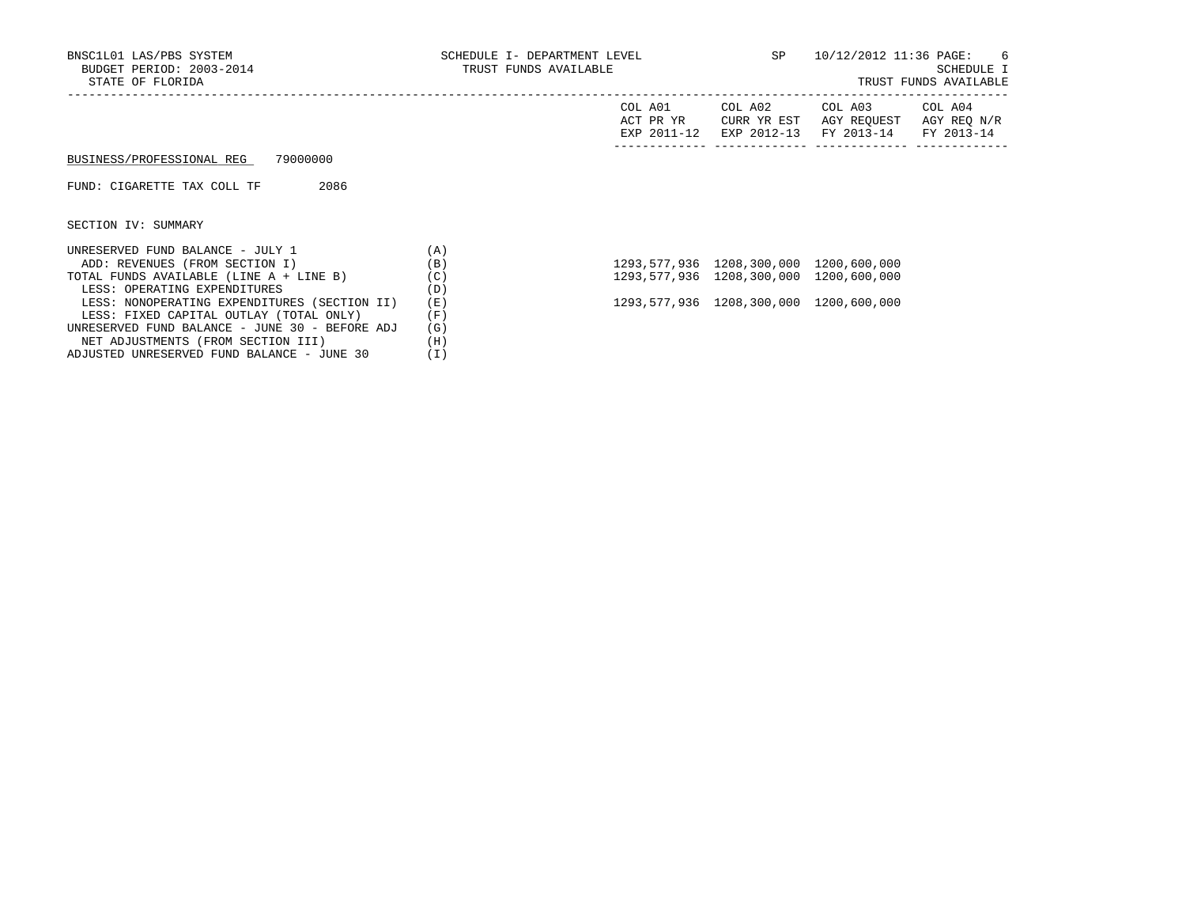NET ADJUSTMENTS (FROM SECTION III) (H) ADJUSTED UNRESERVED FUND BALANCE - JUNE 30 (I)

### TRUST FUNDS AVAILABLE

|                                                |     | COL A01<br>ACT PR YR<br>EXP 2011-12 | COL A02<br>CURR YR EST<br>EXP 2012-13 | COL A03<br>AGY REOUEST<br>FY 2013-14 | COL A04<br>AGY REQ N/R<br>FY 2013-14 |
|------------------------------------------------|-----|-------------------------------------|---------------------------------------|--------------------------------------|--------------------------------------|
| 79000000<br>BUSINESS/PROFESSIONAL REG          |     |                                     |                                       |                                      |                                      |
| 2086<br>FUND: CIGARETTE TAX COLL TF            |     |                                     |                                       |                                      |                                      |
| SECTION IV: SUMMARY                            |     |                                     |                                       |                                      |                                      |
| UNRESERVED FUND BALANCE - JULY 1               | (A) |                                     |                                       |                                      |                                      |
| ADD: REVENUES (FROM SECTION I)                 | (B) |                                     | 1293,577,936 1208,300,000             | 1200,600,000                         |                                      |
| TOTAL FUNDS AVAILABLE (LINE A + LINE B)        | (C) |                                     | 1293,577,936 1208,300,000             | 1200,600,000                         |                                      |
| LESS: OPERATING EXPENDITURES                   | (D) |                                     |                                       |                                      |                                      |
| LESS: NONOPERATING EXPENDITURES (SECTION II)   | (E) |                                     | 1293,577,936 1208,300,000             | 1200,600,000                         |                                      |
| LESS: FIXED CAPITAL OUTLAY (TOTAL ONLY)        | (F) |                                     |                                       |                                      |                                      |
| UNRESERVED FUND BALANCE - JUNE 30 - BEFORE ADJ | (G) |                                     |                                       |                                      |                                      |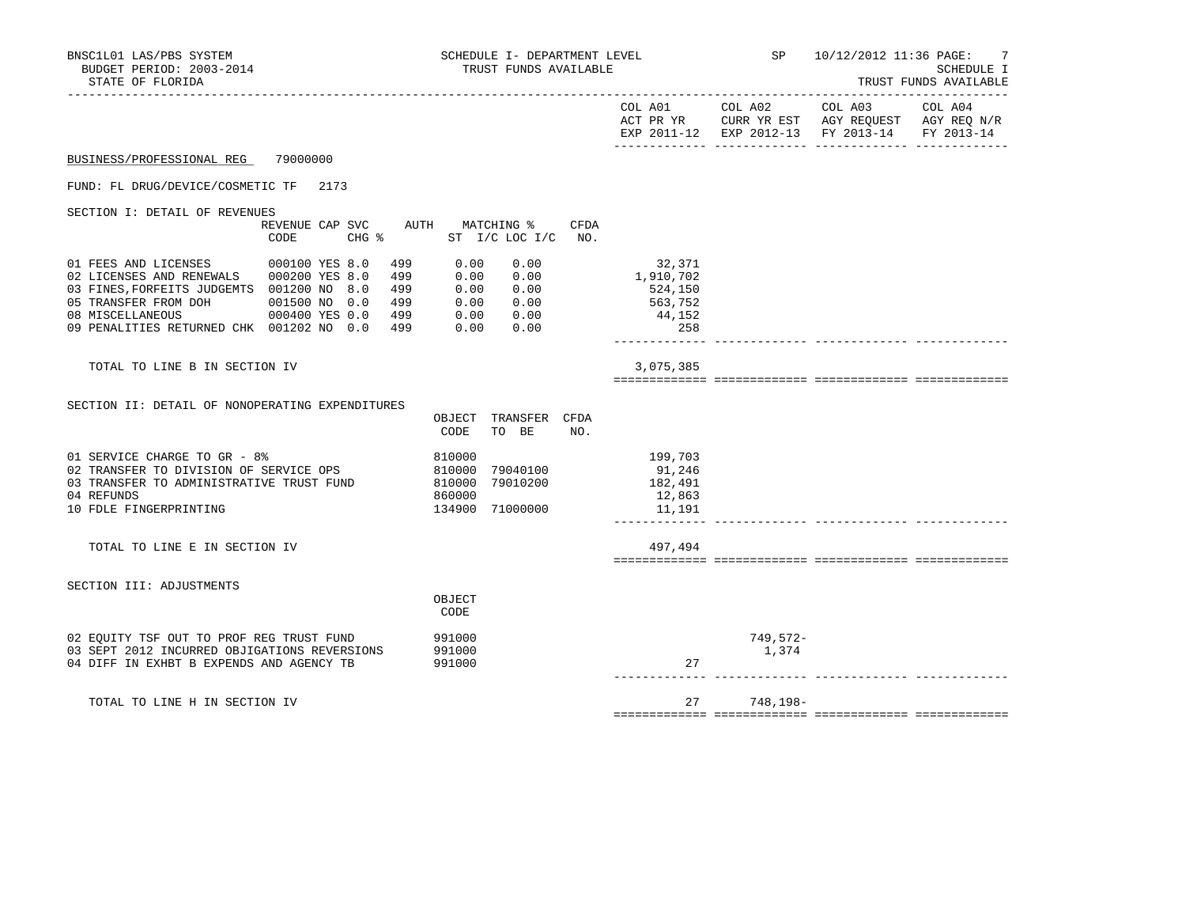| BNSC1L01 LAS/PBS SYSTEM<br>BUDGET PERIOD: 2003-2014<br>STATE OF FLORIDA                                                                                                                                                                                                                              | SCHEDULE I- DEPARTMENT LEVEL<br>TRUST FUNDS AVAILABLE                                        | <b>SP</b><br>10/12/2012 11:36 PAGE: 7<br>SCHEDULE I<br>TRUST FUNDS AVAILABLE<br>----------                                                    |
|------------------------------------------------------------------------------------------------------------------------------------------------------------------------------------------------------------------------------------------------------------------------------------------------------|----------------------------------------------------------------------------------------------|-----------------------------------------------------------------------------------------------------------------------------------------------|
|                                                                                                                                                                                                                                                                                                      |                                                                                              | COL A01<br>COL A02<br>COL A03<br>COL A04<br>ACT PR YR CURR YR EST AGY REQUEST AGY REQ N/R<br>EXP 2011-12 EXP 2012-13 FY 2013-14<br>FY 2013-14 |
| 79000000<br>BUSINESS/PROFESSIONAL REG                                                                                                                                                                                                                                                                |                                                                                              |                                                                                                                                               |
| FUND: FL DRUG/DEVICE/COSMETIC TF<br>2173                                                                                                                                                                                                                                                             |                                                                                              |                                                                                                                                               |
| SECTION I: DETAIL OF REVENUES<br>REVENUE CAP SVC<br>CODE<br>$CHG$ $\frac{1}{6}$                                                                                                                                                                                                                      | AUTH<br>MATCHING %<br>CFDA<br>ST I/C LOC I/C NO.                                             |                                                                                                                                               |
| 01 FEES AND LICENSES<br>000100 YES 8.0<br>499<br>02 LICENSES AND RENEWALS  000200 YES 8.0<br>499<br>03 FINES, FORFEITS JUDGEMTS 001200 NO 8.0<br>499<br>05 TRANSFER FROM DOH<br>499<br>001500 NO 0.0<br>08 MISCELLANEOUS<br>000400 YES 0.0<br>499<br>09 PENALITIES RETURNED CHK 001202 NO 0.0<br>499 | 0.00<br>0.00<br>0.00<br>0.00<br>0.00<br>0.00<br>0.00<br>0.00<br>0.00<br>0.00<br>0.00<br>0.00 | 32,371<br>1,910,702<br>524,150<br>563,752<br>44,152<br>258                                                                                    |
| TOTAL TO LINE B IN SECTION IV                                                                                                                                                                                                                                                                        |                                                                                              | 3,075,385                                                                                                                                     |
| SECTION II: DETAIL OF NONOPERATING EXPENDITURES                                                                                                                                                                                                                                                      | OBJECT TRANSFER CFDA<br>CODE<br>TO BE<br>NO.                                                 |                                                                                                                                               |
| 01 SERVICE CHARGE TO GR - 8%<br>02 TRANSFER TO DIVISION OF SERVICE OPS<br>03 TRANSFER TO ADMINISTRATIVE TRUST FUND<br>04 REFUNDS<br>10 FDLE FINGERPRINTING                                                                                                                                           | 810000<br>810000<br>79040100<br>79010200<br>810000<br>860000<br>134900 71000000              | 199,703<br>91,246<br>182,491<br>12,863<br>11,191                                                                                              |
| TOTAL TO LINE E IN SECTION IV                                                                                                                                                                                                                                                                        |                                                                                              | 497,494                                                                                                                                       |
| SECTION III: ADJUSTMENTS                                                                                                                                                                                                                                                                             | OBJECT<br>CODE                                                                               |                                                                                                                                               |
| 02 EQUITY TSF OUT TO PROF REG TRUST FUND<br>03 SEPT 2012 INCURRED OBJIGATIONS REVERSIONS<br>04 DIFF IN EXHBT B EXPENDS AND AGENCY TB                                                                                                                                                                 | 991000<br>991000<br>991000                                                                   | 749,572-<br>1,374<br>27                                                                                                                       |
| TOTAL TO LINE H IN SECTION IV                                                                                                                                                                                                                                                                        |                                                                                              | 27<br>748,198-                                                                                                                                |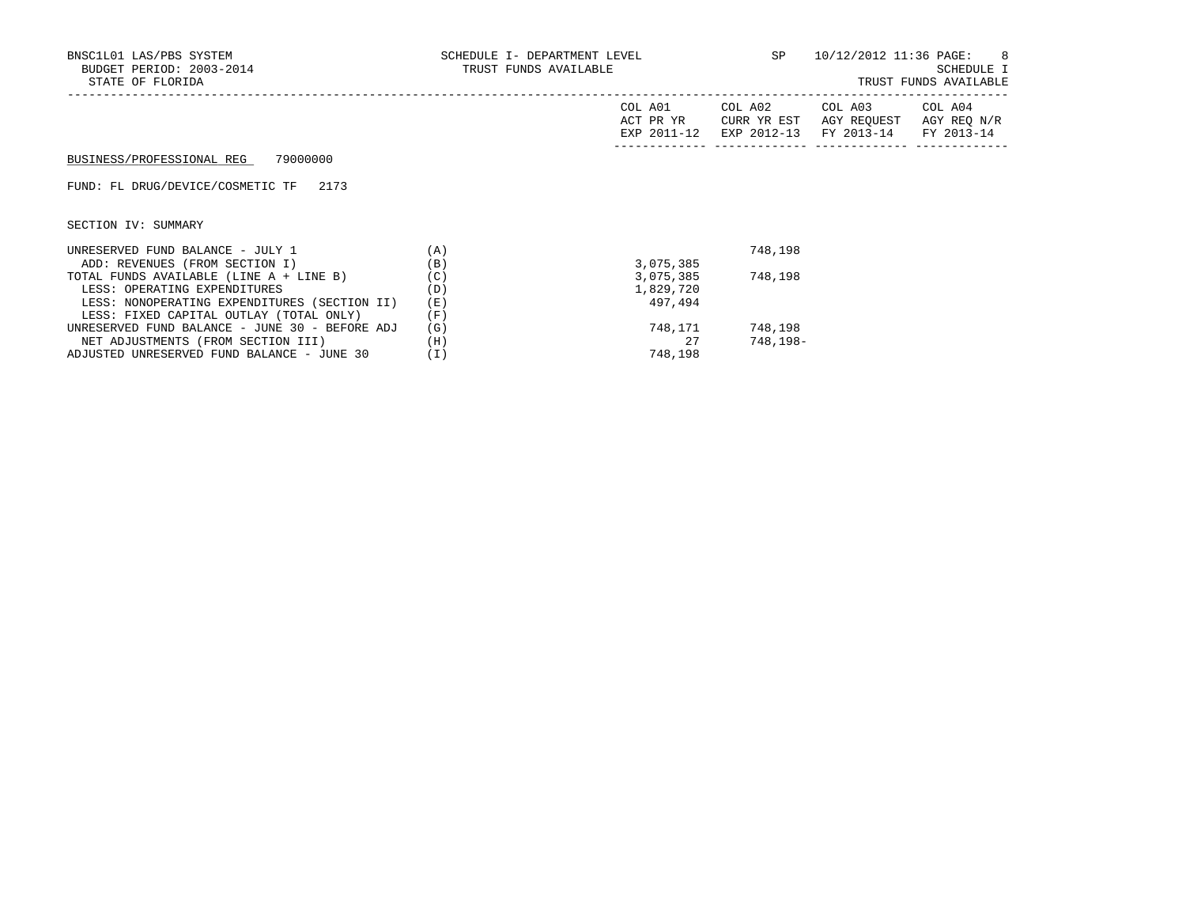| BNSC1L01 LAS/PBS SYSTEM<br>BUDGET PERIOD: 2003-2014<br>STATE OF FLORIDA |     | SCHEDULE I- DEPARTMENT LEVEL<br>TRUST FUNDS AVAILABLE |                        |                                                             | SP and the set of the set of the set of the set of the set of the set of the set of the set of the set of the set of the set of the set of the set of the set of the set of the set of the set of the set of the set of the se<br>10/12/2012 11:36 PAGE: 8<br>SCHEDULE I<br>TRUST FUNDS AVAILABLE |  |  |
|-------------------------------------------------------------------------|-----|-------------------------------------------------------|------------------------|-------------------------------------------------------------|---------------------------------------------------------------------------------------------------------------------------------------------------------------------------------------------------------------------------------------------------------------------------------------------------|--|--|
|                                                                         |     | COL A01<br>ACT PR YR<br>EXP 2011-12                   | COL A02<br>CURR YR EST | COL A03<br>AGY REOUEST<br>EXP 2012-13 FY 2013-14 FY 2013-14 | COL A04<br>AGY REQ N/R                                                                                                                                                                                                                                                                            |  |  |
| BUSINESS/PROFESSIONAL REG 79000000                                      |     |                                                       |                        |                                                             |                                                                                                                                                                                                                                                                                                   |  |  |
| FUND: FL DRUG/DEVICE/COSMETIC TF 2173                                   |     |                                                       |                        |                                                             |                                                                                                                                                                                                                                                                                                   |  |  |
| SECTION IV: SUMMARY                                                     |     |                                                       |                        |                                                             |                                                                                                                                                                                                                                                                                                   |  |  |
| UNRESERVED FUND BALANCE - JULY 1                                        | (A) |                                                       | 748,198                |                                                             |                                                                                                                                                                                                                                                                                                   |  |  |
| ADD: REVENUES (FROM SECTION I)                                          | (B) | 3,075,385                                             |                        |                                                             |                                                                                                                                                                                                                                                                                                   |  |  |
| TOTAL FUNDS AVAILABLE (LINE A + LINE B)                                 | (C) | 3,075,385                                             | 748,198                |                                                             |                                                                                                                                                                                                                                                                                                   |  |  |
| LESS: OPERATING EXPENDITURES                                            | (D) | 1,829,720                                             |                        |                                                             |                                                                                                                                                                                                                                                                                                   |  |  |
| LESS: NONOPERATING EXPENDITURES (SECTION II)                            | (E) | 497,494                                               |                        |                                                             |                                                                                                                                                                                                                                                                                                   |  |  |
| LESS: FIXED CAPITAL OUTLAY (TOTAL ONLY)                                 | (F) |                                                       |                        |                                                             |                                                                                                                                                                                                                                                                                                   |  |  |
| UNRESERVED FUND BALANCE - JUNE 30 - BEFORE ADJ                          | (G) | 748,171                                               | 748,198                |                                                             |                                                                                                                                                                                                                                                                                                   |  |  |

UNRESERVED FUND BALANCE – JUNE 30 – BEFORE ADJ (G)  $748,171$  748,198<br>NET ADJUSTMENTS (FROM SECTION III) (H)  $27$  748,198–

NET ADJUSTMENTS (FROM SECTION III) (H)<br>DJUSTED UNRESERVED FUND BALANCE – JUNE 30 (I) 748,198

ADJUSTED UNRESERVED FUND BALANCE - JUNE 30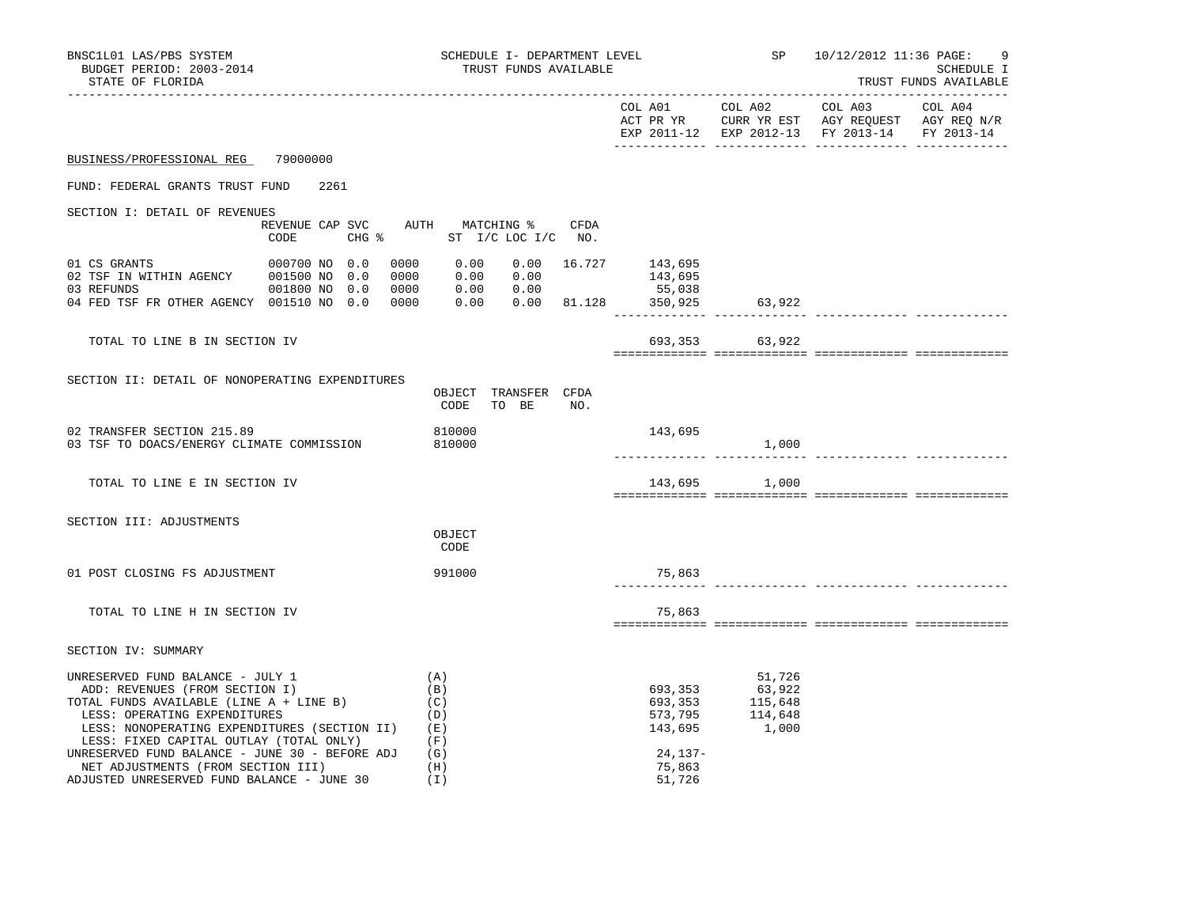| BNSC1L01 LAS/PBS SYSTEM<br>BUDGET PERIOD: 2003-2014<br>STATE OF FLORIDA                                                                                                                                                                                                                                                                                                        | SCHEDULE I- DEPARTMENT LEVEL<br>TRUST FUNDS AVAILABLE                                     |                                                     |                                                                                                                                                                                                  | SP 10/12/2012 11:36 PAGE:<br>9<br>SCHEDULE I<br>TRUST FUNDS AVAILABLE |
|--------------------------------------------------------------------------------------------------------------------------------------------------------------------------------------------------------------------------------------------------------------------------------------------------------------------------------------------------------------------------------|-------------------------------------------------------------------------------------------|-----------------------------------------------------|--------------------------------------------------------------------------------------------------------------------------------------------------------------------------------------------------|-----------------------------------------------------------------------|
|                                                                                                                                                                                                                                                                                                                                                                                |                                                                                           |                                                     |                                                                                                                                                                                                  | EXP 2011-12 EXP 2012-13 FY 2013-14 FY 2013-14                         |
| BUSINESS/PROFESSIONAL REG<br>79000000                                                                                                                                                                                                                                                                                                                                          |                                                                                           |                                                     |                                                                                                                                                                                                  |                                                                       |
| FUND: FEDERAL GRANTS TRUST FUND<br>2261                                                                                                                                                                                                                                                                                                                                        |                                                                                           |                                                     |                                                                                                                                                                                                  |                                                                       |
| SECTION I: DETAIL OF REVENUES<br>CODE                                                                                                                                                                                                                                                                                                                                          | REVENUE CAP SVC AUTH MATCHING % CFDA<br>CHG % ST I/C LOC I/C NO.                          |                                                     |                                                                                                                                                                                                  |                                                                       |
| 000700 NO 0.0<br>01 CS GRANTS<br>0000<br>04 FED TSF FR OTHER AGENCY 001510 NO 0.0<br>0000                                                                                                                                                                                                                                                                                      | 0000 0.00<br>$0.00 \t 16.727 \t 143,695$<br>0.00 0.00<br>$0.00$ $0.00$ $81.128$ $350,925$ | 143,695<br>55,038<br>______________________________ | 63,922                                                                                                                                                                                           |                                                                       |
| TOTAL TO LINE B IN SECTION IV                                                                                                                                                                                                                                                                                                                                                  |                                                                                           |                                                     | 693, 353 63, 922                                                                                                                                                                                 |                                                                       |
| SECTION II: DETAIL OF NONOPERATING EXPENDITURES                                                                                                                                                                                                                                                                                                                                | OBJECT TRANSFER CFDA<br>CODE<br>TO BE<br>NO.                                              |                                                     |                                                                                                                                                                                                  |                                                                       |
| 02 TRANSFER SECTION 215.89<br>03 TSF TO DOACS/ENERGY CLIMATE COMMISSION                                                                                                                                                                                                                                                                                                        | 810000<br>810000                                                                          | 143,695                                             | 1,000                                                                                                                                                                                            |                                                                       |
| TOTAL TO LINE E IN SECTION IV                                                                                                                                                                                                                                                                                                                                                  |                                                                                           |                                                     | 143,695 1,000                                                                                                                                                                                    |                                                                       |
| SECTION III: ADJUSTMENTS                                                                                                                                                                                                                                                                                                                                                       | OBJECT<br>CODE                                                                            |                                                     |                                                                                                                                                                                                  |                                                                       |
| 01 POST CLOSING FS ADJUSTMENT                                                                                                                                                                                                                                                                                                                                                  | 991000                                                                                    | 75,863                                              |                                                                                                                                                                                                  |                                                                       |
| TOTAL TO LINE H IN SECTION IV                                                                                                                                                                                                                                                                                                                                                  |                                                                                           | 75,863                                              |                                                                                                                                                                                                  |                                                                       |
| SECTION IV: SUMMARY                                                                                                                                                                                                                                                                                                                                                            |                                                                                           |                                                     |                                                                                                                                                                                                  |                                                                       |
| UNRESERVED FUND BALANCE - JULY 1<br>ADD: REVENUES (FROM SECTION I)<br>TOTAL FUNDS AVAILABLE (LINE A + LINE B)<br>LESS: OPERATING EXPENDITURES<br>LESS: NONOPERATING EXPENDITURES (SECTION II)<br>LESS: FIXED CAPITAL OUTLAY (TOTAL ONLY)<br>UNRESERVED FUND BALANCE - JUNE 30 - BEFORE ADJ<br>NET ADJUSTMENTS (FROM SECTION III)<br>ADJUSTED UNRESERVED FUND BALANCE - JUNE 30 | (A)<br>(B)<br>(C)<br>(D)<br>(E)<br>(F)<br>(G)<br>(H)<br>(I)                               | $24, 137 -$<br>75,863<br>51,726                     | 51,726<br>$\begin{array}{llll} 693\,,\,353 & \qquad & 63\,,\,922 \\ 693\,,\,353 & \qquad & 115\,,\,648 \\ 573\,,\,795 & \qquad & 114\,,\,648 \\ 143\,,\,695 & \qquad & 1\,,\,000 \\ \end{array}$ |                                                                       |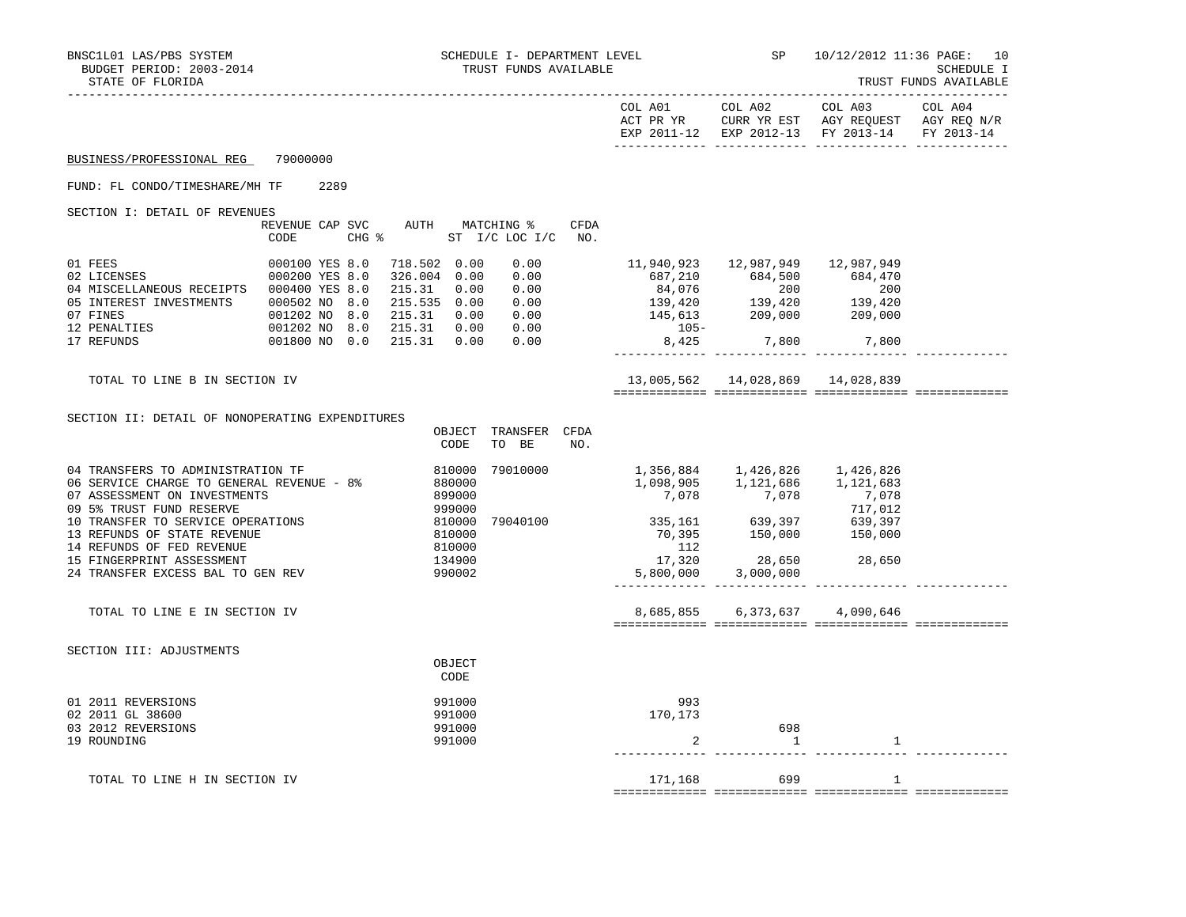|                                                                                                                                                                                                                                                                                                               |                                  |      |              |                                                                              |                                                                                                                                                                                                                                                       |                         |                                                                                                                                      | COL A02<br>EXP 2011-12 EXP 2012-13 FY 2013-14     |         | FY 2013-14 |
|---------------------------------------------------------------------------------------------------------------------------------------------------------------------------------------------------------------------------------------------------------------------------------------------------------------|----------------------------------|------|--------------|------------------------------------------------------------------------------|-------------------------------------------------------------------------------------------------------------------------------------------------------------------------------------------------------------------------------------------------------|-------------------------|--------------------------------------------------------------------------------------------------------------------------------------|---------------------------------------------------|---------|------------|
| BUSINESS/PROFESSIONAL REG                                                                                                                                                                                                                                                                                     | 79000000                         |      |              |                                                                              |                                                                                                                                                                                                                                                       |                         |                                                                                                                                      |                                                   |         |            |
| FUND: FL CONDO/TIMESHARE/MH TF                                                                                                                                                                                                                                                                                |                                  | 2289 |              |                                                                              |                                                                                                                                                                                                                                                       |                         |                                                                                                                                      |                                                   |         |            |
| SECTION I: DETAIL OF REVENUES                                                                                                                                                                                                                                                                                 | REVENUE CAP SVC<br>CODE          |      |              |                                                                              | AUTH MATCHING %<br>CHG % ST I/C LOC I/C                                                                                                                                                                                                               | CFDA<br>NO <sub>z</sub> |                                                                                                                                      |                                                   |         |            |
| 01 FEES<br>02 LICENSES<br>04 MISCELLANEOUS RECEIPTS 000400 YES 8.0<br>05 INTEREST INVESTMENTS 000502 NO 8.0<br>07 FINES<br>12 PENALTIES<br>17 REFUNDS                                                                                                                                                         | 000100 YES 8.0<br>000200 YES 8.0 |      | 718.502 0.00 |                                                                              | 0.00<br>326.004 0.00 0.00<br>ECEIPTS 000400 YES 8.0 215.31 0.00 0.00<br>MENTS 000502 NO 8.0 215.535 0.00 0.00<br>001202 NO 8.0 215.31 0.00 0.00<br>001202 NO 8.0 215.31 0.00 0.00<br>001202 NO 8.0 215.31 0.00 0.00<br>001800 NO 0.0 215.31 0.00 0.00 |                         | $687,210$ $684,500$ $684,470$<br>$84,076$ $200$ $200$<br>$139,420$ $139,420$<br>$145,613$ $209,000$ $209,000$<br>$105 -$<br>8,425    | 11,940,923  12,987,949  12,987,949<br>7,800 7,800 |         |            |
| TOTAL TO LINE B IN SECTION IV                                                                                                                                                                                                                                                                                 |                                  |      |              |                                                                              |                                                                                                                                                                                                                                                       |                         |                                                                                                                                      | 13,005,562  14,028,869  14,028,839                |         |            |
| SECTION II: DETAIL OF NONOPERATING EXPENDITURES                                                                                                                                                                                                                                                               |                                  |      |              | OBJECT<br>CODE                                                               | TRANSFER CFDA<br>TO BE                                                                                                                                                                                                                                | NO.                     |                                                                                                                                      |                                                   |         |            |
| 04 TRANSFERS TO ADMINISTRATION TF<br>06 SERVICE CHARGE TO GENERAL REVENUE - 8%<br>07 ASSESSMENT ON INVESTMENTS<br>09 5% TRUST FUND RESERVE<br>10 TRANSFER TO SERVICE OPERATIONS<br>13 REFUNDS OF STATE REVENUE<br>14 REFUNDS OF FED REVENUE<br>15 FINGERPRINT ASSESSMENT<br>24 TRANSFER EXCESS BAL TO GEN REV |                                  |      | 880000       | 810000<br>899000<br>999000<br>810000<br>810000<br>810000<br>134900<br>990002 | 79010000<br>79040100                                                                                                                                                                                                                                  |                         | 1,356,884   1,426,826   1,426,826<br>$\begin{array}{cc} 335,161 & 639,397 & 639,397 \ 70,395 & 150,000 & 150,000 \end{array}$<br>112 | 17,320 28,650 28,650<br>5,800,000 3,000,000       | 717,012 |            |
| TOTAL TO LINE E IN SECTION IV                                                                                                                                                                                                                                                                                 |                                  |      |              |                                                                              |                                                                                                                                                                                                                                                       |                         |                                                                                                                                      | 8,685,855 6,373,637 4,090,646                     |         |            |
| SECTION III: ADJUSTMENTS                                                                                                                                                                                                                                                                                      |                                  |      |              | OBJECT<br>CODE                                                               |                                                                                                                                                                                                                                                       |                         |                                                                                                                                      |                                                   |         |            |
| 01 2011 REVERSIONS<br>02 2011 GL 38600<br>03 2012 REVERSIONS<br>19 ROUNDING                                                                                                                                                                                                                                   |                                  |      |              | 991000<br>991000<br>991000<br>991000                                         |                                                                                                                                                                                                                                                       |                         | 993<br>170,173<br>2                                                                                                                  | 698<br>-1                                         | 1       |            |
| TOTAL TO LINE H IN SECTION IV                                                                                                                                                                                                                                                                                 |                                  |      |              |                                                                              |                                                                                                                                                                                                                                                       |                         | 171,168                                                                                                                              | 699                                               | 1       |            |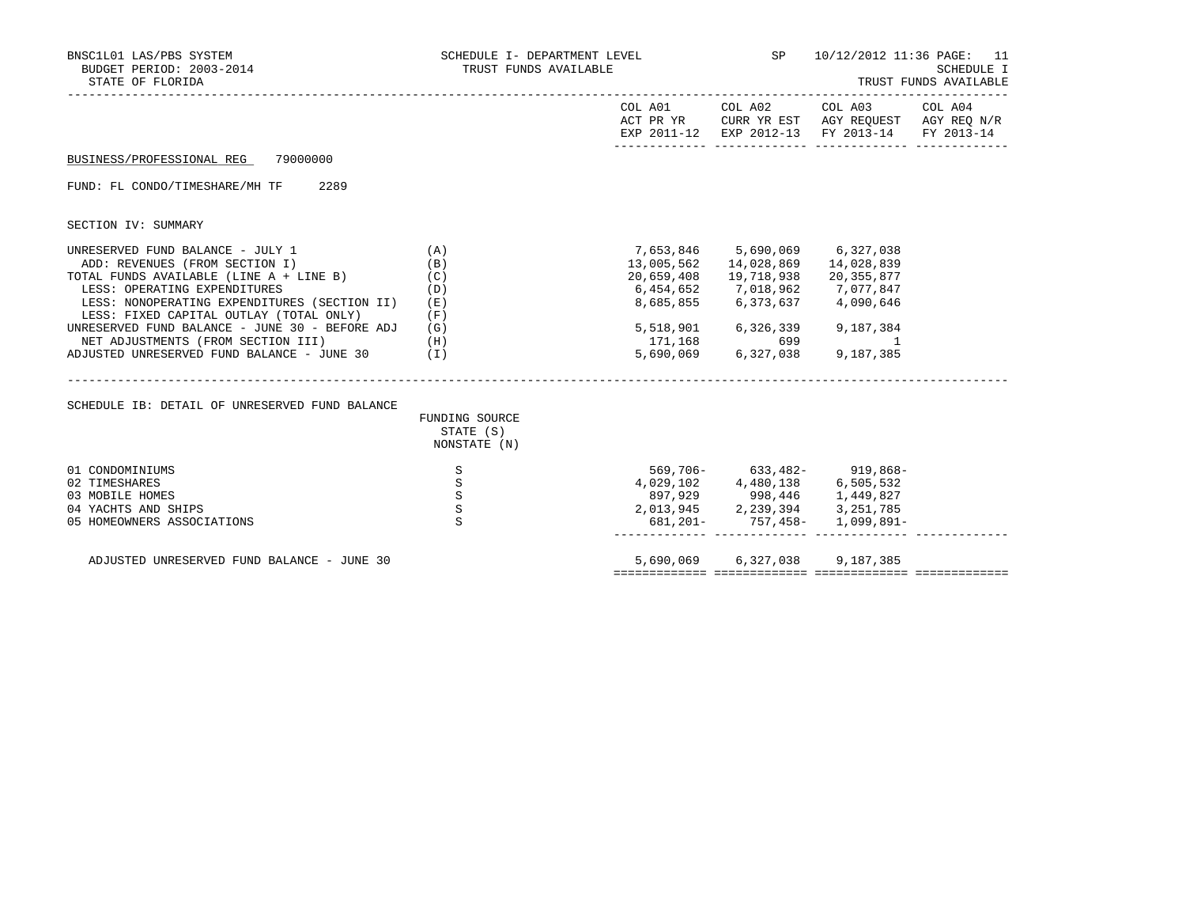| BNSC1L01 LAS/PBS SYSTEM<br>BUDGET PERIOD: 2003-2014<br>STATE OF FLORIDA                                                                                                                                                                         | SCHEDULE I- DEPARTMENT LEVEL<br>TRUST FUNDS AVAILABLE | ----------------------------- | 10/12/2012 11:36 PAGE: 11<br>SCHEDULE I<br>TRUST FUNDS AVAILABLE                                                                                                            |                                                                                                                                   |  |
|-------------------------------------------------------------------------------------------------------------------------------------------------------------------------------------------------------------------------------------------------|-------------------------------------------------------|-------------------------------|-----------------------------------------------------------------------------------------------------------------------------------------------------------------------------|-----------------------------------------------------------------------------------------------------------------------------------|--|
|                                                                                                                                                                                                                                                 |                                                       |                               |                                                                                                                                                                             | COL A01 COL A02 COL A03 COL A04<br>ACT PR YR CURR YR EST AGY REQUEST AGY REQ N/R<br>EXP 2011-12 EXP 2012-13 FY 2013-14 FY 2013-14 |  |
| 79000000<br>BUSINESS/PROFESSIONAL REG                                                                                                                                                                                                           |                                                       |                               |                                                                                                                                                                             |                                                                                                                                   |  |
| FUND: FL CONDO/TIMESHARE/MH TF<br>2289                                                                                                                                                                                                          |                                                       |                               |                                                                                                                                                                             |                                                                                                                                   |  |
| SECTION IV: SUMMARY                                                                                                                                                                                                                             |                                                       |                               |                                                                                                                                                                             |                                                                                                                                   |  |
| UNRESERVED FUND BALANCE - JULY 1<br>ADD: REVENUES (FROM SECTION I)<br>TOTAL FUNDS AVAILABLE (LINE $A + LINE B$ ) (C)<br>LESS: OPERATING EXPENDITURES<br>LESS: NONOPERATING EXPENDITURES (SECTION II)<br>LESS: FIXED CAPITAL OUTLAY (TOTAL ONLY) | (A)<br>(B)<br>(D)<br>(E)<br>(F)                       |                               | 7,653,846 5,690,069 6,327,038<br>13,005,562  14,028,869  14,028,839<br>20,659,408  19,718,938  20,355,877<br>6,454,652 7,018,962 7,077,847<br>8,685,855 6,373,637 4,090,646 |                                                                                                                                   |  |
| UNRESERVED FUND BALANCE - JUNE 30 - BEFORE ADJ<br>NET ADJUSTMENTS (FROM SECTION III)<br>ADJUSTED UNRESERVED FUND BALANCE - JUNE 30 $(1)$                                                                                                        | (G)<br>(H)                                            | 5,518,901                     | 6,326,339<br>$171,168$ $699$ 1<br>5,690,069 6,327,038 9,187,385                                                                                                             | 9,187,384                                                                                                                         |  |
| SCHEDULE IB: DETAIL OF UNRESERVED FUND BALANCE                                                                                                                                                                                                  |                                                       |                               |                                                                                                                                                                             |                                                                                                                                   |  |
|                                                                                                                                                                                                                                                 | FUNDING SOURCE<br>STATE (S)<br>NONSTATE (N)           |                               |                                                                                                                                                                             |                                                                                                                                   |  |
| 01 CONDOMINIUMS<br>02 TIMESHARES<br>03 MOBILE HOMES<br>04 YACHTS AND SHIPS<br>05 HOMEOWNERS ASSOCIATIONS                                                                                                                                        | S<br>S<br>S<br>$\rm S$<br>S                           |                               | 569,706- 633,482- 919,868-<br>4,029,102 4,480,138 6,505,532<br>897,929 998,446 1,449,827<br>2,013,945 2,239,394 3,251,785                                                   | 681, 201 - 757, 458 - 1, 099, 891 -                                                                                               |  |
| ADJUSTED UNRESERVED FUND BALANCE - JUNE 30                                                                                                                                                                                                      |                                                       |                               | 5,690,069 6,327,038 9,187,385                                                                                                                                               |                                                                                                                                   |  |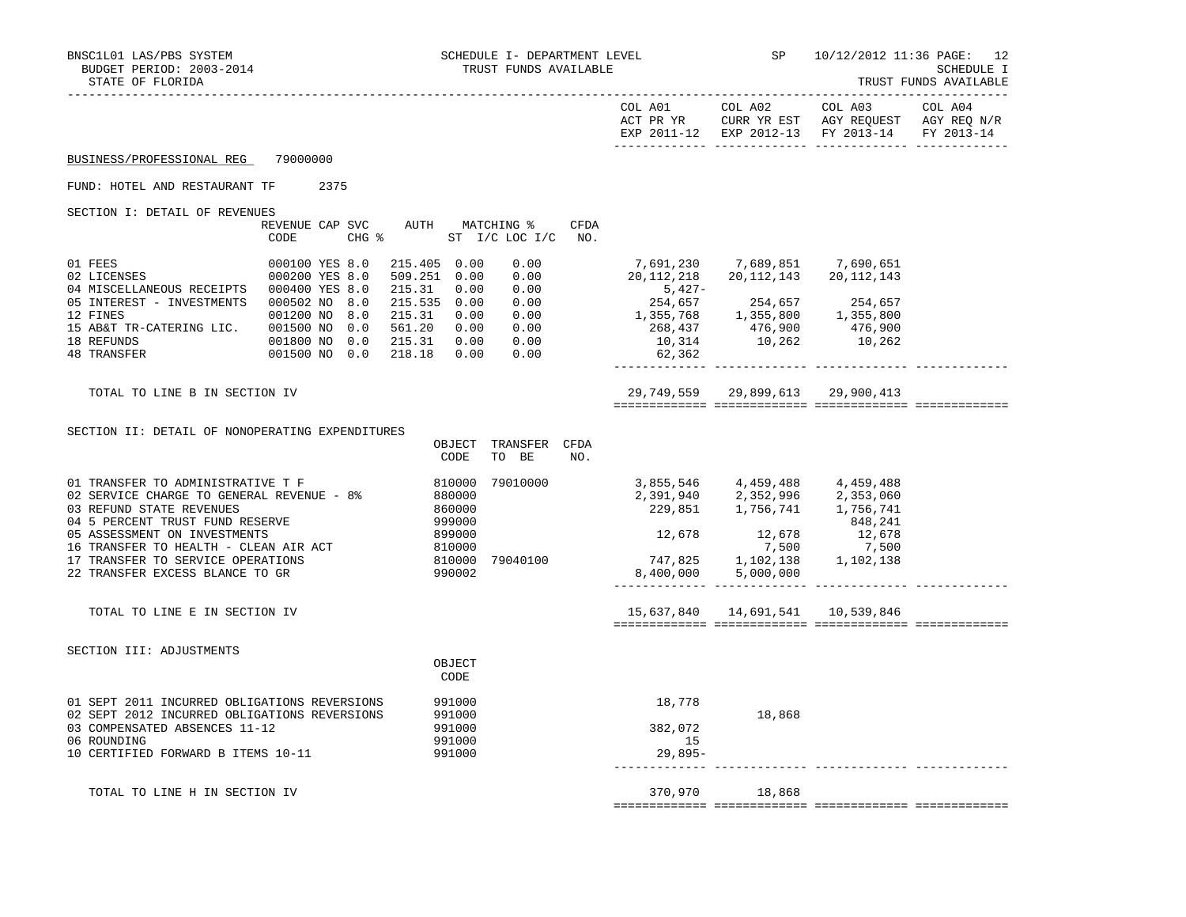|                                                                                                                                                                                    |                                  |      |                                             |                                                |                                                             |      |                                                                                                                                                                     | COL A01 COL A02                                                             | COL A03<br>ACT PR YR CURR YR EST AGY REQUEST AGY REQ N/R<br>EXP 2011-12 EXP 2012-13 FY 2013-14 FY 2013-14 | COL A04 |
|------------------------------------------------------------------------------------------------------------------------------------------------------------------------------------|----------------------------------|------|---------------------------------------------|------------------------------------------------|-------------------------------------------------------------|------|---------------------------------------------------------------------------------------------------------------------------------------------------------------------|-----------------------------------------------------------------------------|-----------------------------------------------------------------------------------------------------------|---------|
| BUSINESS/PROFESSIONAL REG                                                                                                                                                          | 79000000                         |      |                                             |                                                |                                                             |      |                                                                                                                                                                     |                                                                             |                                                                                                           |         |
| FUND: HOTEL AND RESTAURANT TF                                                                                                                                                      |                                  | 2375 |                                             |                                                |                                                             |      |                                                                                                                                                                     |                                                                             |                                                                                                           |         |
| SECTION I: DETAIL OF REVENUES                                                                                                                                                      |                                  |      |                                             |                                                |                                                             |      |                                                                                                                                                                     |                                                                             |                                                                                                           |         |
|                                                                                                                                                                                    | CODE                             |      |                                             |                                                | REVENUE CAP SVC AUTH MATCHING %<br>CHG % ST I/C LOC I/C NO. | CFDA |                                                                                                                                                                     |                                                                             |                                                                                                           |         |
| 01 FEES<br>02 LICENSES<br>04 MISCELLANEOUS RECEIPTS 000400 YES 8.0                                                                                                                 | 000100 YES 8.0<br>000200 YES 8.0 |      | 215.405 0.00<br>509.251 0.00<br>215.31 0.00 |                                                | 0.00<br>0.00<br>0.00                                        |      | 20, 112, 218 20, 112, 143 20, 112, 143<br>$5,427-$                                                                                                                  | 7,691,230 7,689,851 7,690,651                                               |                                                                                                           |         |
| 05 INTEREST - INVESTMENTS 000502 NO 8.0<br>12 FINES                                                                                                                                | 001200 NO 8.0                    |      | 215.535 0.00<br>215.31 0.00                 |                                                | 0.00<br>$0.00$<br>$0.00$                                    |      |                                                                                                                                                                     |                                                                             |                                                                                                           |         |
| 15 AB&T TR-CATERING LIC. 001500 NO 0.0<br>18 REFUNDS<br>48 TRANSFER                                                                                                                | 001800 NO 0.0<br>001500 NO 0.0   |      | 561.20 0.00<br>215.31 0.00<br>218.18 0.00   |                                                | 0.00<br>0.00                                                |      | $254,657$<br>$1,355,657$<br>$254,657$<br>$254,657$<br>$255,768$<br>$256,437$<br>$476,900$<br>$1,355,800$<br>$476,900$<br>$10,314$<br>$10,262$<br>$10,262$<br>62,362 |                                                                             |                                                                                                           |         |
| TOTAL TO LINE B IN SECTION IV                                                                                                                                                      |                                  |      |                                             |                                                |                                                             |      |                                                                                                                                                                     | 29,749,559 29,899,613 29,900,413                                            |                                                                                                           |         |
| SECTION II: DETAIL OF NONOPERATING EXPENDITURES                                                                                                                                    |                                  |      |                                             | CODE                                           | OBJECT TRANSFER CFDA<br>TO BE                               | NO.  |                                                                                                                                                                     |                                                                             |                                                                                                           |         |
| 01 TRANSFER TO ADMINISTRATIVE T F<br>02 SERVICE CHARGE TO GENERAL REVENUE - 8%<br>03 REFUND STATE REVENUES<br>04 5 PERCENT TRUST FUND RESERVE                                      |                                  |      | 880000                                      | 810000<br>860000<br>999000                     | 79010000                                                    |      | 3,855,546 4,459,488 4,459,488                                                                                                                                       | 2, 391, 940  2, 352, 996  2, 353, 060<br>229, 851  1, 756, 741  1, 756, 741 | 848,241                                                                                                   |         |
| 05 ASSESSMENT ON INVESTMENTS<br>16 TRANSFER TO HEALTH - CLEAN AIR ACT                                                                                                              |                                  |      |                                             | 899000<br>810000                               |                                                             |      | $12,678$ $12,678$ $12,678$ $12,678$<br>7,500 7,500                                                                                                                  |                                                                             |                                                                                                           |         |
| 17 TRANSFER TO SERVICE OPERATIONS<br>22 TRANSFER EXCESS BLANCE TO GR                                                                                                               |                                  |      |                                             | 990002                                         | 810000 79040100                                             |      | 747,825 1,102,138 1,102,138                                                                                                                                         | 8,400,000 5,000,000                                                         |                                                                                                           |         |
| TOTAL TO LINE E IN SECTION IV                                                                                                                                                      |                                  |      |                                             |                                                |                                                             |      |                                                                                                                                                                     | 15,637,840  14,691,541  10,539,846                                          |                                                                                                           |         |
| SECTION III: ADJUSTMENTS                                                                                                                                                           |                                  |      |                                             | OBJECT<br>CODE                                 |                                                             |      |                                                                                                                                                                     |                                                                             |                                                                                                           |         |
| 01 SEPT 2011 INCURRED OBLIGATIONS REVERSIONS<br>02 SEPT 2012 INCURRED OBLIGATIONS REVERSIONS<br>03 COMPENSATED ABSENCES 11-12<br>06 ROUNDING<br>10 CERTIFIED FORWARD B ITEMS 10-11 |                                  |      |                                             | 991000<br>991000<br>991000<br>991000<br>991000 |                                                             |      | 18,778<br>382,072<br>15<br>29,895-                                                                                                                                  | 18,868                                                                      |                                                                                                           |         |
| TOTAL TO LINE H IN SECTION IV                                                                                                                                                      |                                  |      |                                             |                                                |                                                             |      | 370,970                                                                                                                                                             | 18,868                                                                      |                                                                                                           |         |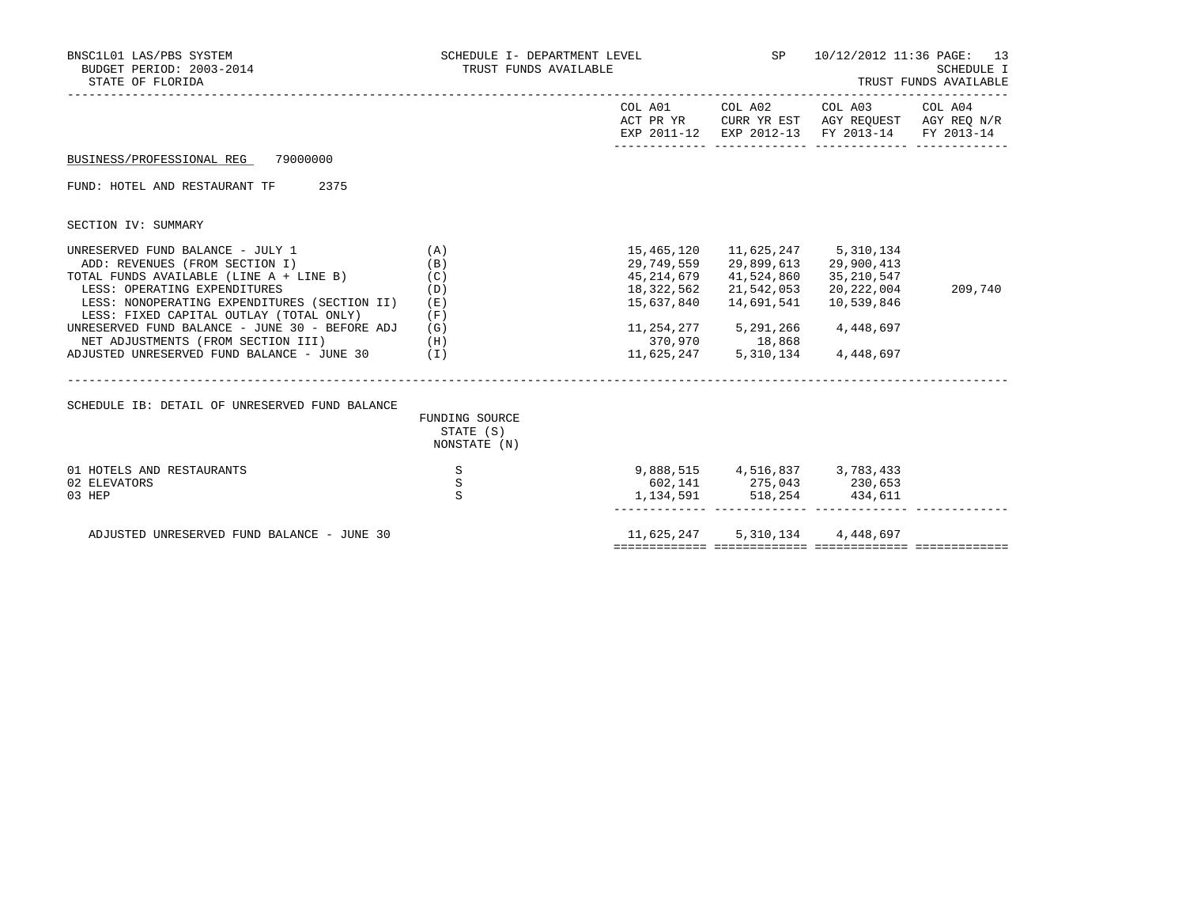| BNSC1L01 LAS/PBS SYSTEM<br>BUDGET PERIOD: 2003-2014<br>STATE OF FLORIDA                                                                                                                                                                                                                                                                                                                                                                        | TRUST FUNDS AVAILABLE                                                 |                                                                                                                                                    | SCHEDULE I- DEPARTMENT LEVEL SP 10/12/2012 11:36 PAGE: 13<br><b>SCHEDULE I</b><br>TRUST FUNDS AVAILABLE |                                                                                                      |         |
|------------------------------------------------------------------------------------------------------------------------------------------------------------------------------------------------------------------------------------------------------------------------------------------------------------------------------------------------------------------------------------------------------------------------------------------------|-----------------------------------------------------------------------|----------------------------------------------------------------------------------------------------------------------------------------------------|---------------------------------------------------------------------------------------------------------|------------------------------------------------------------------------------------------------------|---------|
|                                                                                                                                                                                                                                                                                                                                                                                                                                                |                                                                       |                                                                                                                                                    |                                                                                                         | ACT PR YR CURR YR EST AGY REQUEST AGY REQ N/R<br>EXP 2011-12 EXP 2012-13 FY 2013-14 FY 2013-14       |         |
| BUSINESS/PROFESSIONAL REG 79000000                                                                                                                                                                                                                                                                                                                                                                                                             |                                                                       |                                                                                                                                                    |                                                                                                         |                                                                                                      |         |
| FUND: HOTEL AND RESTAURANT TF 2375                                                                                                                                                                                                                                                                                                                                                                                                             |                                                                       |                                                                                                                                                    |                                                                                                         |                                                                                                      |         |
| SECTION IV: SUMMARY                                                                                                                                                                                                                                                                                                                                                                                                                            |                                                                       |                                                                                                                                                    |                                                                                                         |                                                                                                      |         |
| UNRESERVED FUND BALANCE - JULY 1<br>ADD: REVENUES (FROM SECTION I)<br>TOTAL FUNDS AVAILABLE (LINE A + LINE B)<br>LESS: OPERATING EXPENDITURES<br>LESS: NONOPERATING EXPENDITURES (SECTION II)<br>LESS: FIXED CAPITAL OUTLAY (TOTAL ONLY)<br>UNRESERVED FUND BALANCE - JUNE 30 - BEFORE ADJ (G)<br>NET ADJUSTMENTS (FROM SECTION III) (H)<br>ADJUSTED UNRESERVED FUND BALANCE - JUNE 30 $(1)$<br>SCHEDULE IB: DETAIL OF UNRESERVED FUND BALANCE | (A)<br>(B)<br>(C)<br>(D)<br>(E)<br>(F)<br>FUNDING SOURCE<br>STATE (S) | 15,465,120<br>29,749,559<br>45,214,679<br>18,322,562<br>15,637,840<br>11, 254, 277 5, 291, 266<br>370,970 18,868<br>11,625,247 5,310,134 4,448,697 | 41,524,860<br>21,542,053<br>14,691,541                                                                  | 11,625,247 5,310,134<br>29,899,613 29,900,413<br>35,210,547<br>20,222,004<br>10,539,846<br>4,448,697 | 209,740 |
| 01 HOTELS AND RESTAURANTS<br>02 ELEVATORS<br>03 HEP                                                                                                                                                                                                                                                                                                                                                                                            | NONSTATE (N)<br>S<br>$\, \mathbb{S} \,$<br>S                          | 9,888,515 4,516,837 3,783,433<br>602,141 275,043 230,653                                                                                           | 1, 134, 591 518, 254 434, 611                                                                           |                                                                                                      |         |
| ADJUSTED UNRESERVED FUND BALANCE - JUNE 30                                                                                                                                                                                                                                                                                                                                                                                                     |                                                                       | 11,625,247 5,310,134 4,448,697                                                                                                                     |                                                                                                         |                                                                                                      |         |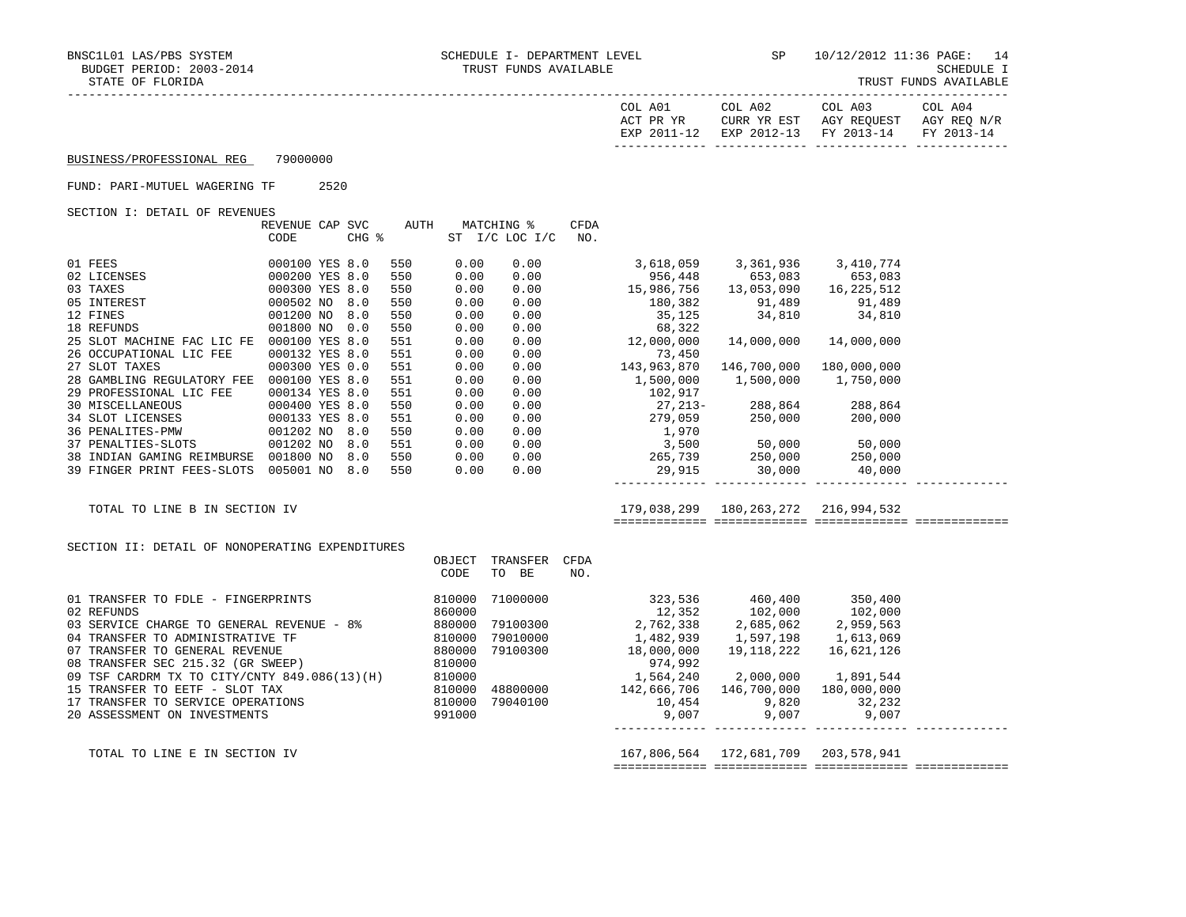| TRUST FUNDS AVAILABLE |
|-----------------------|
|-----------------------|

| . A01<br>COL<br>PR YR<br>ACT<br>$2011 - 12$<br>FYD | COL A02<br>CURR YR EST<br>$2012 - 13$<br><b>FYD</b> | COL A03<br>AGY REOUEST<br>FY 2013-14 | COL A04<br>AGY REQ N/R<br>EV 2013-14 |
|----------------------------------------------------|-----------------------------------------------------|--------------------------------------|--------------------------------------|
|                                                    |                                                     |                                      |                                      |

#### FUND: PARI-MUTUEL WAGERING TF 2520

SECTION I: DETAIL OF REVENUES

|                            | REVENUE<br>CAP | <b>SVC</b> | AUTH |      | MATCHING %      | <b>CFDA</b> |             |             |              |
|----------------------------|----------------|------------|------|------|-----------------|-------------|-------------|-------------|--------------|
|                            | CODE           | CHG %      |      | ST   | $I/C$ LOC $I/C$ | NO.         |             |             |              |
|                            |                |            |      |      |                 |             |             |             |              |
| 01 FEES                    | 000100 YES 8.0 |            | 550  | 0.00 | 0.00            |             | 3,618,059   | 3,361,936   | 3,410,774    |
| 02 LICENSES                | 000200 YES 8.0 |            | 550  | 0.00 | 0.00            |             | 956,448     | 653,083     | 653,083      |
| 03 TAXES                   | 000300 YES 8.0 |            | 550  | 0.00 | 0.00            |             | 15,986,756  | 13,053,090  | 16, 225, 512 |
| 05 INTEREST                | 000502 NO      | 8.0        | 550  | 0.00 | 0.00            |             | 180,382     | 91,489      | 91,489       |
| 12 FINES                   | 001200 NO      | 8.0        | 550  | 0.00 | 0.00            |             | 35,125      | 34,810      | 34,810       |
| 18 REFUNDS                 | 001800 NO      | 0.0        | 550  | 0.00 | 0.00            |             | 68,322      |             |              |
| 25 SLOT MACHINE FAC LIC FE | 000100 YES 8.0 |            | 551  | 0.00 | 0.00            |             | 12,000,000  | 14,000,000  | 14,000,000   |
| 26 OCCUPATIONAL LIC FEE    | 000132 YES 8.0 |            | 551  | 0.00 | 0.00            |             | 73,450      |             |              |
| 27 SLOT TAXES              | 000300 YES 0.0 |            | 551  | 0.00 | 0.00            |             | 143,963,870 | 146,700,000 | 180,000,000  |
| 28 GAMBLING REGULATORY FEE | 000100 YES 8.0 |            | 551  | 0.00 | 0.00            |             | 1,500,000   | 1,500,000   | 1,750,000    |
| 29 PROFESSIONAL LIC FEE    | 000134 YES 8.0 |            | 551  | 0.00 | 0.00            |             | 102,917     |             |              |
| 30 MISCELLANEOUS           | 000400 YES 8.0 |            | 550  | 0.00 | 0.00            |             | $27.213-$   | 288,864     | 288,864      |
| <b>34 SLOT LICENSES</b>    | 000133 YES 8.0 |            | 551  | 0.00 | 0.00            |             | 279,059     | 250,000     | 200,000      |
| 36 PENALITES-PMW           | 001202 NO      | 8.0        | 550  | 0.00 | 0.00            |             | 1,970       |             |              |
| 37 PENALTIES-SLOTS         | 001202 NO      | 8.0        | 551  | 0.00 | 0.00            |             | 3,500       | 50,000      | 50,000       |
| 38 INDIAN GAMING REIMBURSE | 001800 NO      | 8.0        | 550  | 0.00 | 0.00            |             | 265,739     | 250,000     | 250,000      |
| 39 FINGER PRINT FEES-SLOTS | 005001 NO      | 8.0        | 550  | 0.00 | 0.00            |             | 29,915      | 30,000      | 40,000       |

 TOTAL TO LINE B IN SECTION IV 179,038,299 180,263,272 216,994,532 ============= ============= ============= =============

------------- ------------- ------------- -------------

SECTION II: DETAIL OF NONOPERATING EXPENDITURES

|                                              | OBJECT | TRANSFER | CFDA |             |             |             |  |
|----------------------------------------------|--------|----------|------|-------------|-------------|-------------|--|
|                                              | CODE   | TO<br>BE | NO.  |             |             |             |  |
| 01 TRANSFER TO FDLE - FINGERPRINTS           | 810000 | 71000000 |      | 323,536     | 460,400     | 350,400     |  |
| 02 REFUNDS                                   | 860000 |          |      | 12,352      | 102,000     | 102,000     |  |
| 03 SERVICE CHARGE TO GENERAL REVENUE - 8%    | 880000 | 79100300 |      | 2,762,338   | 2,685,062   | 2,959,563   |  |
| 04 TRANSFER TO ADMINISTRATIVE TF             | 810000 | 79010000 |      | 1,482,939   | 1,597,198   | 1,613,069   |  |
| 07 TRANSFER TO GENERAL REVENUE               | 880000 | 79100300 |      | 18,000,000  | 19,118,222  | 16,621,126  |  |
| 08 TRANSFER SEC 215.32 (GR SWEEP)            | 810000 |          |      | 974,992     |             |             |  |
| 09 TSF CARDRM TX TO CITY/CNTY 849.086(13)(H) | 810000 |          |      | 1,564,240   | 2,000,000   | 1,891,544   |  |
| 15 TRANSFER TO EETF - SLOT TAX               | 810000 | 48800000 |      | 142,666,706 | 146,700,000 | 180,000,000 |  |
| 17 TRANSFER TO SERVICE OPERATIONS            | 810000 | 79040100 |      | 10,454      | 9,820       | 32,232      |  |
| 20 ASSESSMENT ON INVESTMENTS                 | 991000 |          |      | 9,007       | 9,007       | 9,007       |  |
|                                              |        |          |      |             |             |             |  |
|                                              |        |          |      |             |             |             |  |

 TOTAL TO LINE E IN SECTION IV 167,806,564 172,681,709 203,578,941 ============= ============= ============= =============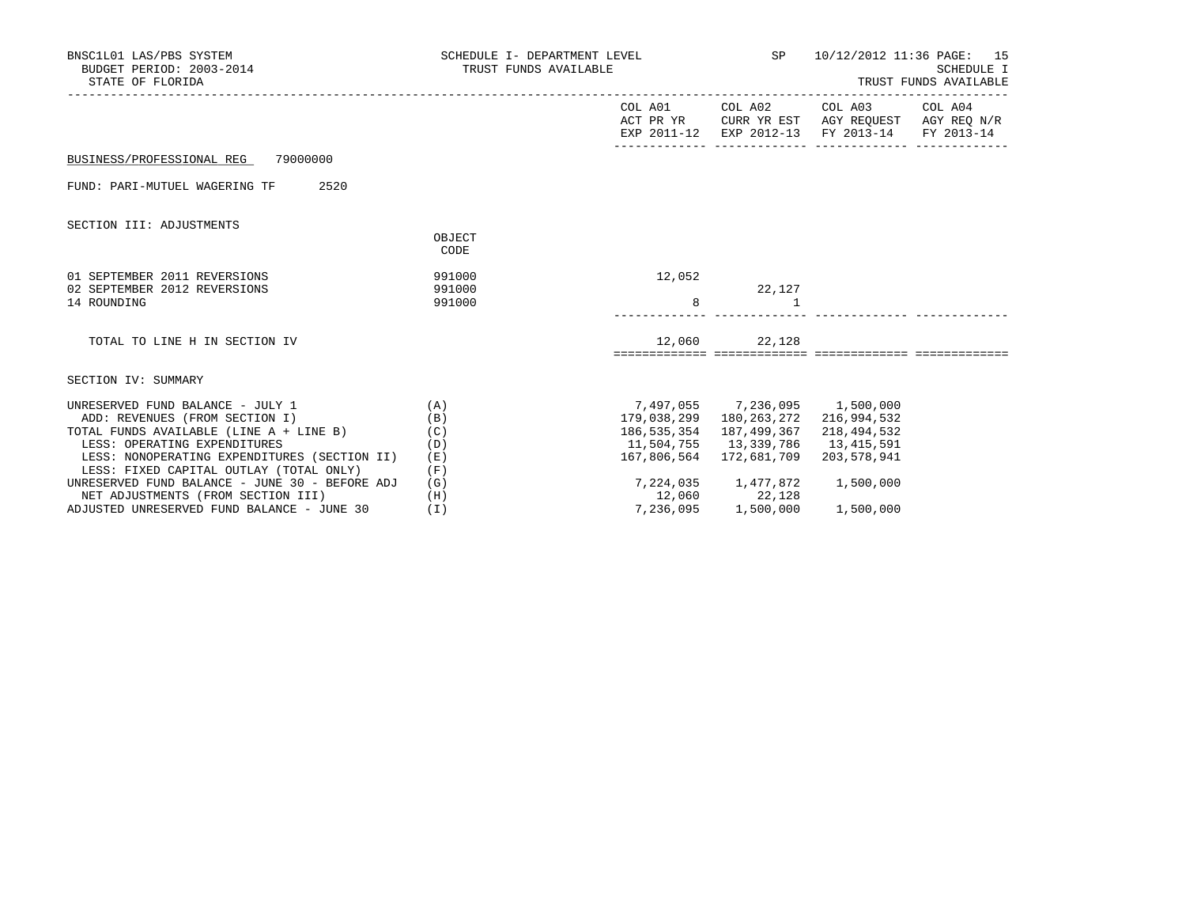| BNSC1L01 LAS/PBS SYSTEM<br>BUDGET PERIOD: 2003-2014<br>STATE OF FLORIDA                                                        | SCHEDULE I- DEPARTMENT LEVEL SP<br>TRUST FUNDS AVAILABLE |                                                 | 10/12/2012 11:36 PAGE: 15<br>SCHEDULE I<br>TRUST FUNDS AVAILABLE |                                                                                                                                   |  |
|--------------------------------------------------------------------------------------------------------------------------------|----------------------------------------------------------|-------------------------------------------------|------------------------------------------------------------------|-----------------------------------------------------------------------------------------------------------------------------------|--|
|                                                                                                                                |                                                          |                                                 |                                                                  | COL A01 COL A02 COL A03 COL A04<br>ACT PR YR CURR YR EST AGY REOUEST AGY REO N/R<br>EXP 2011-12 EXP 2012-13 FY 2013-14 FY 2013-14 |  |
| BUSINESS/PROFESSIONAL REG 79000000                                                                                             |                                                          |                                                 |                                                                  |                                                                                                                                   |  |
| 2520<br>FUND: PARI-MUTUEL WAGERING TF                                                                                          |                                                          |                                                 |                                                                  |                                                                                                                                   |  |
| SECTION III: ADJUSTMENTS                                                                                                       |                                                          |                                                 |                                                                  |                                                                                                                                   |  |
|                                                                                                                                | OBJECT<br>CODE                                           |                                                 |                                                                  |                                                                                                                                   |  |
| 01 SEPTEMBER 2011 REVERSIONS<br>02 SEPTEMBER 2012 REVERSIONS<br>14 ROUNDING                                                    | 991000<br>991000<br>991000                               | 12,052<br>8                                     | 22,127<br>$\mathbf{1}$                                           |                                                                                                                                   |  |
| TOTAL TO LINE H IN SECTION IV                                                                                                  |                                                          |                                                 | 12,060 22,128                                                    |                                                                                                                                   |  |
| SECTION IV: SUMMARY                                                                                                            |                                                          |                                                 |                                                                  |                                                                                                                                   |  |
| UNRESERVED FUND BALANCE - JULY 1<br>ADD: REVENUES (FROM SECTION I)                                                             | (A)<br>(B)                                               | 7,497,055 7,236,095 1,500,000                   | 179,038,299 180,263,272 216,994,532                              |                                                                                                                                   |  |
| TOTAL FUNDS AVAILABLE (LINE A + LINE B)<br>(C)<br>LESS: OPERATING EXPENDITURES<br>LESS: NONOPERATING EXPENDITURES (SECTION II) | (D)<br>(E)                                               | 11,504,755 13,339,786 13,415,591<br>167,806,564 | 186, 535, 354 187, 499, 367<br>172,681,709                       | 218,494,532<br>203,578,941                                                                                                        |  |
| LESS: FIXED CAPITAL OUTLAY (TOTAL ONLY)<br>UNRESERVED FUND BALANCE - JUNE 30 - BEFORE ADJ                                      | (F)<br>(G)                                               |                                                 | $7,224,035$ 1,477,872 1,500,000                                  |                                                                                                                                   |  |
| NET ADJUSTMENTS (FROM SECTION III)<br>ADJUSTED UNRESERVED FUND BALANCE - JUNE 30                                               | (H)<br>(1)                                               |                                                 | 12,060 22,128<br>7,236,095 1,500,000                             | 1,500,000                                                                                                                         |  |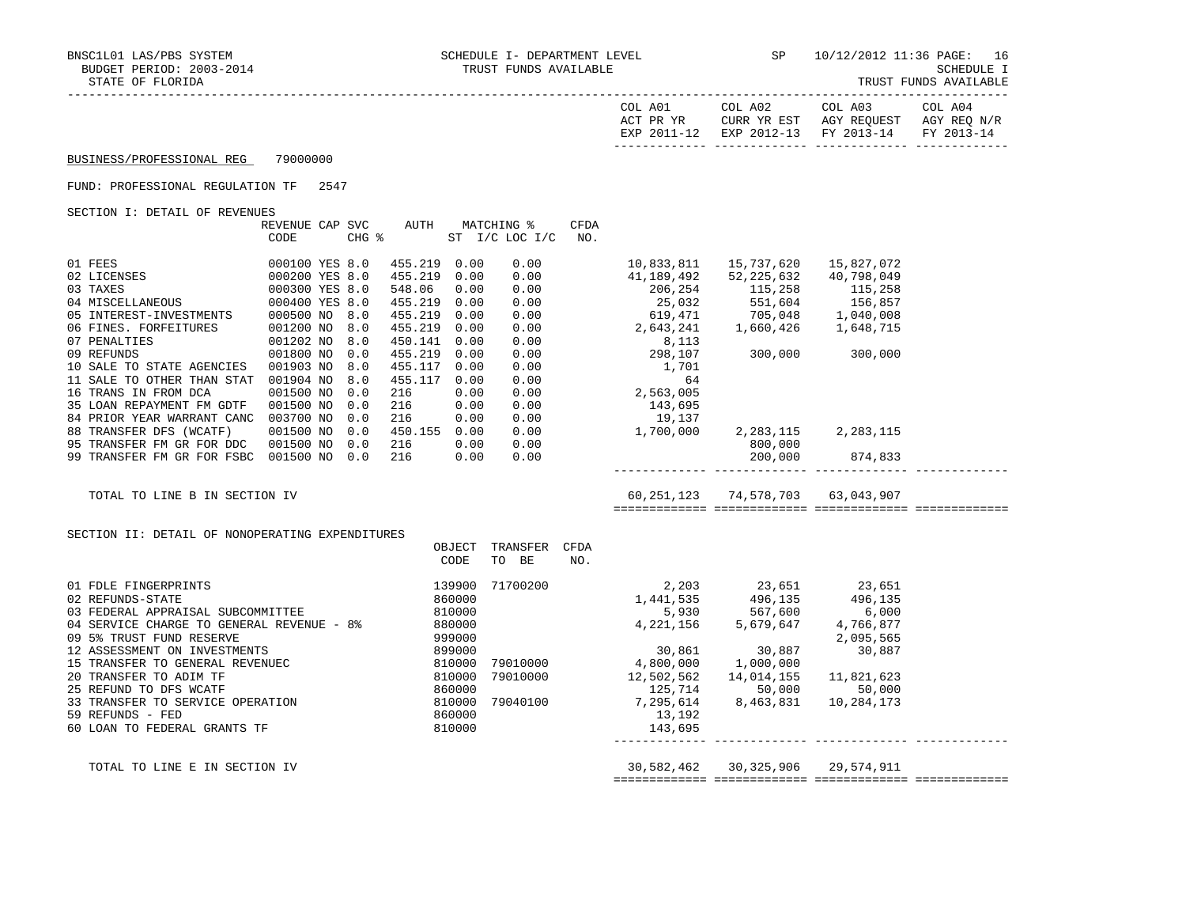| COL A01<br>ACT PR YR | COL A02<br>CURR YR EST | COL A03<br>AGY REOUEST | COL A04<br>AGY REO N/R |
|----------------------|------------------------|------------------------|------------------------|
| EXP 2011-12          | EXP 2012-13 FY 2013-14 |                        | FY 2013-14             |

#### FUND: PROFESSIONAL REGULATION TF 2547

SECTION I: DETAIL OF REVENUES

|                            | REVENUE CAP    | SVC   | AUTH    |      | MATCHING %     | CFDA |            |            |            |  |
|----------------------------|----------------|-------|---------|------|----------------|------|------------|------------|------------|--|
|                            | CODE           | CHG % |         |      | ST I/C LOC I/C | NO.  |            |            |            |  |
|                            |                |       |         |      |                |      |            |            |            |  |
| 01 FEES                    | 000100 YES 8.0 |       | 455.219 | 0.00 | 0.00           |      | 10,833,811 | 15,737,620 | 15,827,072 |  |
| 02 LICENSES                | 000200 YES 8.0 |       | 455.219 | 0.00 | 0.00           |      | 41,189,492 | 52,225,632 | 40,798,049 |  |
| 03 TAXES                   | 000300 YES 8.0 |       | 548.06  | 0.00 | 0.00           |      | 206,254    | 115,258    | 115,258    |  |
| 04 MISCELLANEOUS           | 000400 YES 8.0 |       | 455.219 | 0.00 | 0.00           |      | 25,032     | 551,604    | 156,857    |  |
| 05 INTEREST-INVESTMENTS    | 000500 NO      | 8.0   | 455.219 | 0.00 | 0.00           |      | 619,471    | 705,048    | 1,040,008  |  |
| 06 FINES. FORFEITURES      | 001200 NO      | 8.0   | 455.219 | 0.00 | 0.00           |      | 2,643,241  | 1,660,426  | 1,648,715  |  |
| 07 PENALTIES               | 001202 NO      | 8.0   | 450.141 | 0.00 | 0.00           |      | 8,113      |            |            |  |
| 09 REFUNDS                 | 001800 NO      | 0.0   | 455.219 | 0.00 | 0.00           |      | 298,107    | 300,000    | 300,000    |  |
| 10 SALE TO STATE AGENCIES  | 001903 NO      | 8.0   | 455.117 | 0.00 | 0.00           |      | 1,701      |            |            |  |
| 11 SALE TO OTHER THAN STAT | 001904 NO      | 8.0   | 455.117 | 0.00 | 0.00           |      | 64         |            |            |  |
| 16 TRANS IN FROM DCA       | 001500 NO      | 0.0   | 216     | 0.00 | 0.00           |      | 2,563,005  |            |            |  |
| 35 LOAN REPAYMENT FM GDTF  | 001500 NO      | 0.0   | 216     | 0.00 | 0.00           |      | 143,695    |            |            |  |
| 84 PRIOR YEAR WARRANT CANC | 003700 NO      | 0.0   | 216     | 0.00 | 0.00           |      | 19,137     |            |            |  |
| 88 TRANSFER DFS (WCATF)    | 001500 NO      | 0.0   | 450.155 | 0.00 | 0.00           |      | 1,700,000  | 2,283,115  | 2,283,115  |  |
| 95 TRANSFER FM GR FOR DDC  | 001500 NO      | 0.0   | 216     | 0.00 | 0.00           |      |            | 800,000    |            |  |
| 99 TRANSFER FM GR FOR FSBC | 001500 NO      | 0.0   | 216     | 0.00 | 0.00           |      |            | 200,000    | 874,833    |  |
|                            |                |       |         |      |                |      |            |            |            |  |

TOTAL TO LINE B IN SECTION IV 60,251,123 74,578,703 63,043,907

============= ============= ============= =============

SECTION II: DETAIL OF NONOPERATING EXPENDITURES

|                                           | OBJECT | TRANSFER | CFDA |            |            |            |  |
|-------------------------------------------|--------|----------|------|------------|------------|------------|--|
|                                           | CODE   | BE<br>TO | NO.  |            |            |            |  |
| 01 FDLE FINGERPRINTS                      | 139900 | 71700200 |      | 2,203      | 23,651     | 23,651     |  |
| 02 REFUNDS-STATE                          | 860000 |          |      | 1,441,535  | 496,135    | 496,135    |  |
| 03 FEDERAL APPRAISAL SUBCOMMITTEE         | 810000 |          |      | 5,930      | 567,600    | 6,000      |  |
| 04 SERVICE CHARGE TO GENERAL REVENUE - 8% | 880000 |          |      | 4,221,156  | 5,679,647  | 4,766,877  |  |
| 09 5% TRUST FUND RESERVE                  | 999000 |          |      |            |            | 2,095,565  |  |
| 12 ASSESSMENT ON INVESTMENTS              | 899000 |          |      | 30,861     | 30,887     | 30,887     |  |
| 15 TRANSFER TO GENERAL REVENUEC           | 810000 | 79010000 |      | 4,800,000  | 1,000,000  |            |  |
| 20 TRANSFER TO ADIM TF                    | 810000 | 79010000 |      | 12,502,562 | 14,014,155 | 11,821,623 |  |
| 25 REFUND TO DFS WCATF                    | 860000 |          |      | 125,714    | 50,000     | 50,000     |  |
| 33 TRANSFER TO SERVICE OPERATION          | 810000 | 79040100 |      | 7,295,614  | 8,463,831  | 10,284,173 |  |
| 59 REFUNDS - FED                          | 860000 |          |      | 13,192     |            |            |  |
| 60 LOAN TO FEDERAL GRANTS TF              | 810000 |          |      | 143,695    |            |            |  |
|                                           |        |          |      |            |            |            |  |
|                                           |        |          |      |            |            |            |  |

 TOTAL TO LINE E IN SECTION IV 30,582,462 30,325,906 29,574,911 ============= ============= ============= =============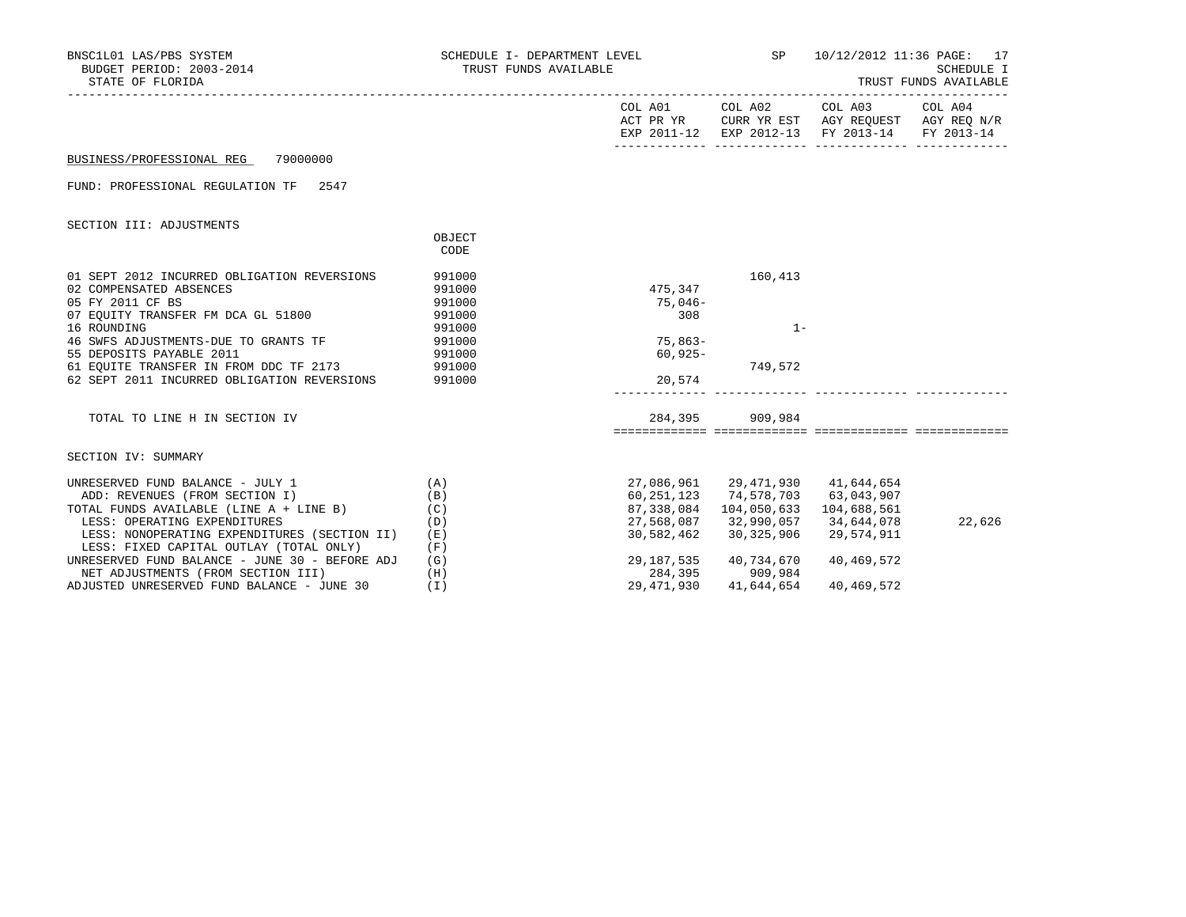| BNSC1L01 LAS/PBS SYSTEM<br>BUDGET PERIOD: 2003-2014<br>STATE OF FLORIDA                                                                                                                                  | SCHEDULE I- DEPARTMENT LEVEL SP $10/12/2012$ 11:36 PAGE: 17<br>TRUST FUNDS AVAILABLE |                                                                    |                                                                                        | SCHEDULE I<br>TRUST FUNDS AVAILABLE           |        |  |
|----------------------------------------------------------------------------------------------------------------------------------------------------------------------------------------------------------|--------------------------------------------------------------------------------------|--------------------------------------------------------------------|----------------------------------------------------------------------------------------|-----------------------------------------------|--------|--|
|                                                                                                                                                                                                          |                                                                                      |                                                                    |                                                                                        | EXP 2011-12 EXP 2012-13 FY 2013-14 FY 2013-14 |        |  |
| BUSINESS/PROFESSIONAL REG 79000000                                                                                                                                                                       |                                                                                      |                                                                    |                                                                                        |                                               |        |  |
| FUND: PROFESSIONAL REGULATION TF 2547                                                                                                                                                                    |                                                                                      |                                                                    |                                                                                        |                                               |        |  |
| SECTION III: ADJUSTMENTS                                                                                                                                                                                 | OBJECT<br>CODE                                                                       |                                                                    |                                                                                        |                                               |        |  |
| 01 SEPT 2012 INCURRED OBLIGATION REVERSIONS<br>02 COMPENSATED ABSENCES<br>05 FY 2011 CF BS<br>07 EQUITY TRANSFER FM DCA GL 51800 991000                                                                  | 991000<br>991000<br>991000                                                           | 475,347<br>75,046-<br>308                                          | 160,413                                                                                |                                               |        |  |
| 16 ROUNDING<br>46 SWFS ADJUSTMENTS-DUE TO GRANTS TF<br>55 DEPOSITS PAYABLE 2011<br>61 EQUITE TRANSFER IN FROM DDC TF 2173 991000<br>62 SEPT 2011 INCURRED OBLIGATION REVERSIONS 991000                   | 991000<br>991000                                                                     | $75,863-$<br>$60,925-$<br>20,574                                   | $1 -$<br>749,572                                                                       |                                               |        |  |
| TOTAL TO LINE H IN SECTION IV                                                                                                                                                                            |                                                                                      |                                                                    | 284,395 909,984                                                                        |                                               |        |  |
| SECTION IV: SUMMARY                                                                                                                                                                                      |                                                                                      |                                                                    |                                                                                        |                                               |        |  |
| UNRESERVED FUND BALANCE - JULY 1<br>ADD: REVENUES (FROM SECTION I)<br>TOTAL FUNDS AVAILABLE (LINE $A + LINE B$ ) (C)<br>LESS: OPERATING EXPENDITURES<br>LESS: NONOPERATING EXPENDITURES (SECTION II) (E) | (A)<br>(B)<br>(D)                                                                    | 60, 251, 123 74, 578, 703 63, 043, 907<br>87,338,084<br>30,582,462 | 27,086,961 29,471,930 41,644,654<br>104,050,633<br>27,568,087 32,990,057<br>30,325,906 | 104,688,561<br>34,644,078<br>29,574,911       | 22,626 |  |
| LESS: FIXED CAPITAL OUTLAY (TOTAL ONLY)<br>UNRESERVED FUND BALANCE - JUNE 30 - BEFORE ADJ<br>NET ADJUSTMENTS (FROM SECTION III)<br>ADJUSTED UNRESERVED FUND BALANCE - JUNE 30                            | (F)<br>(G)<br>(H)<br>(I)                                                             | 284,395<br>29,471,930                                              | 29,187,535 40,734,670<br>909,984<br>41,644,654                                         | 40,469,572<br>40,469,572                      |        |  |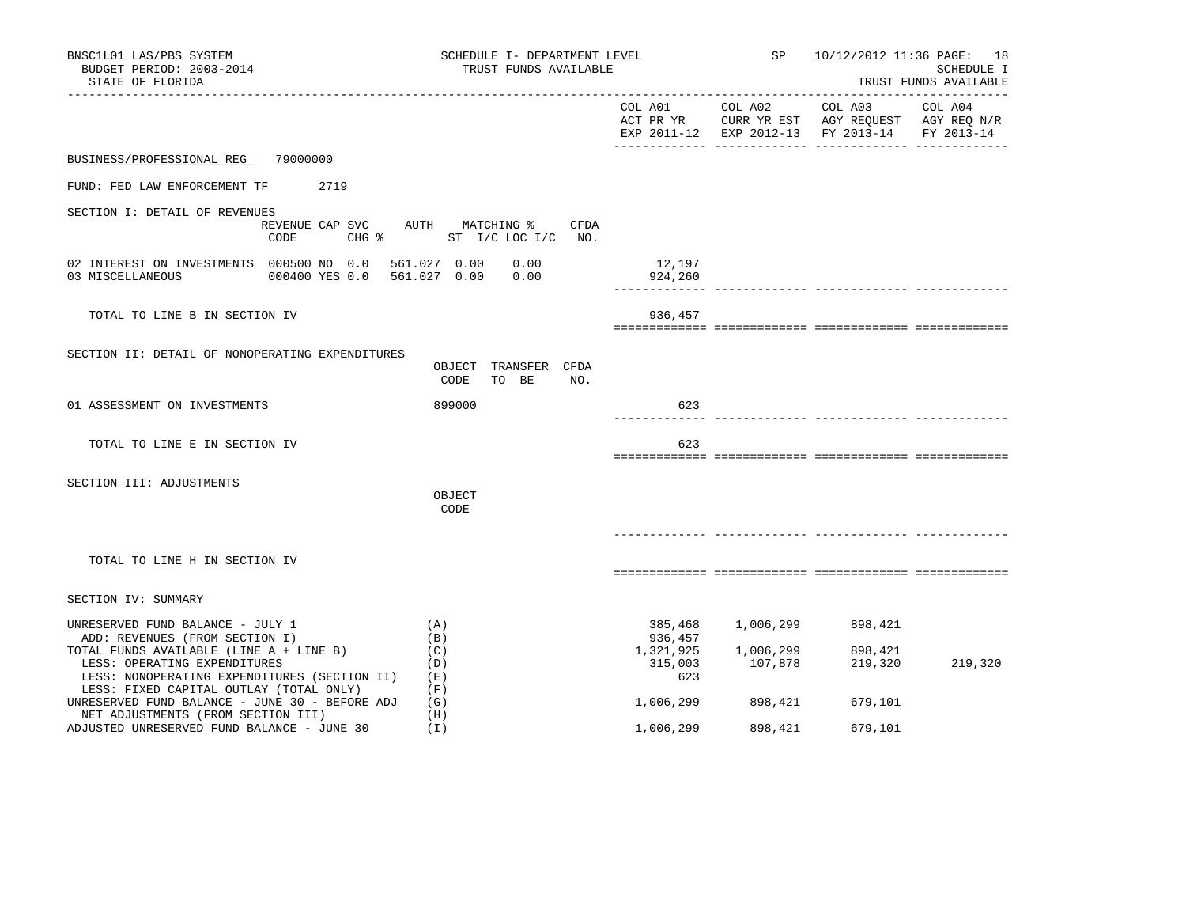| BNSC1L01 LAS/PBS SYSTEM<br>BUDGET PERIOD: 2003-2014<br>STATE OF FLORIDA                                                 | SCHEDULE I- DEPARTMENT LEVEL<br>TRUST FUNDS AVAILABLE           |                                 | SP 10/12/2012 11:36 PAGE: 18<br>SCHEDULE I<br>TRUST FUNDS AVAILABLE |                                                                                                           |         |
|-------------------------------------------------------------------------------------------------------------------------|-----------------------------------------------------------------|---------------------------------|---------------------------------------------------------------------|-----------------------------------------------------------------------------------------------------------|---------|
|                                                                                                                         |                                                                 | COL A01 COL A02                 |                                                                     | COL A03<br>ACT PR YR CURR YR EST AGY REQUEST AGY REQ N/R<br>EXP 2011-12 EXP 2012-13 FY 2013-14 FY 2013-14 | COL A04 |
| 79000000<br>BUSINESS/PROFESSIONAL REG                                                                                   |                                                                 |                                 |                                                                     |                                                                                                           |         |
| FUND: FED LAW ENFORCEMENT TF<br>2719                                                                                    |                                                                 |                                 |                                                                     |                                                                                                           |         |
| SECTION I: DETAIL OF REVENUES<br>REVENUE CAP SVC<br>CODE                                                                | AUTH MATCHING %<br>CFDA<br>CHG $\frac{1}{2}$ ST I/C LOC I/C NO. |                                 |                                                                     |                                                                                                           |         |
| 02 INTEREST ON INVESTMENTS 000500 NO 0.0<br>03 MISCELLANEOUS<br>000400 YES 0.0                                          | 561.027 0.00<br>0.00<br>561.027 0.00<br>0.00                    | 12,197<br>924,260               |                                                                     | ------------- ------------- --------                                                                      |         |
| TOTAL TO LINE B IN SECTION IV                                                                                           |                                                                 | 936,457                         |                                                                     |                                                                                                           |         |
| SECTION II: DETAIL OF NONOPERATING EXPENDITURES                                                                         | OBJECT TRANSFER CFDA<br>CODE<br>TO BE<br>NO.                    |                                 |                                                                     |                                                                                                           |         |
| 01 ASSESSMENT ON INVESTMENTS                                                                                            | 899000                                                          | 623                             |                                                                     | -------- ------------- ----------                                                                         |         |
| TOTAL TO LINE E IN SECTION IV                                                                                           |                                                                 | 623                             |                                                                     |                                                                                                           |         |
| SECTION III: ADJUSTMENTS                                                                                                | OBJECT<br>CODE                                                  |                                 |                                                                     |                                                                                                           |         |
|                                                                                                                         |                                                                 |                                 |                                                                     |                                                                                                           |         |
| TOTAL TO LINE H IN SECTION IV                                                                                           |                                                                 |                                 |                                                                     |                                                                                                           |         |
| SECTION IV: SUMMARY                                                                                                     |                                                                 |                                 |                                                                     |                                                                                                           |         |
| UNRESERVED FUND BALANCE - JULY 1<br>ADD: REVENUES (FROM SECTION I)<br>TOTAL FUNDS AVAILABLE (LINE A + LINE B)           | (A)<br>(B)<br>(C)                                               | 385,468<br>936,457<br>1,321,925 | 1,006,299<br>1,006,299                                              | 898,421<br>898,421                                                                                        |         |
| LESS: OPERATING EXPENDITURES<br>LESS: NONOPERATING EXPENDITURES (SECTION II)<br>LESS: FIXED CAPITAL OUTLAY (TOTAL ONLY) | (D)<br>(E)<br>(F)                                               | 315,003<br>623                  | 107,878                                                             | 219,320                                                                                                   | 219,320 |
| UNRESERVED FUND BALANCE - JUNE 30 - BEFORE ADJ<br>NET ADJUSTMENTS (FROM SECTION III)                                    | (G)<br>(H)                                                      | 1,006,299                       | 898,421                                                             | 679,101                                                                                                   |         |
| ADJUSTED UNRESERVED FUND BALANCE - JUNE 30                                                                              | (1)                                                             | 1,006,299                       | 898,421                                                             | 679,101                                                                                                   |         |